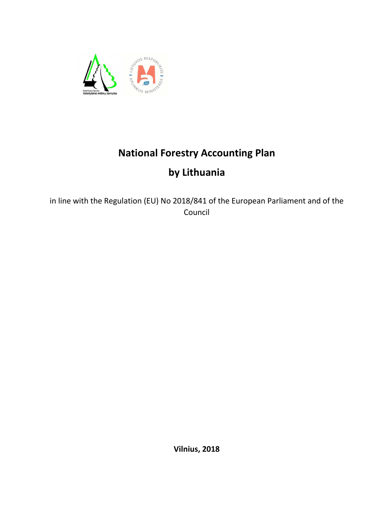

## **National Forestry Accounting Plan**

# **by Lithuania**

in line with the Regulation (EU) No 2018/841 of the European Parliament and of the Council

**Vilnius, 2018**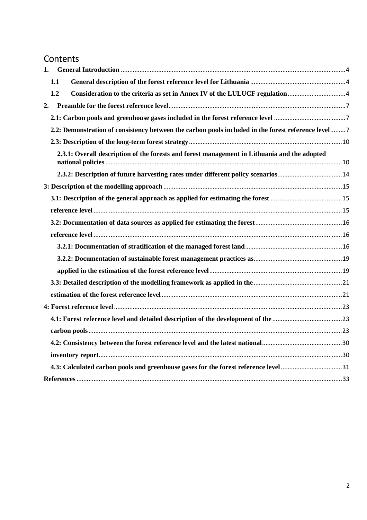## Contents

| 1. |     |                                                                                                    |  |
|----|-----|----------------------------------------------------------------------------------------------------|--|
|    | 1.1 |                                                                                                    |  |
|    | 1.2 |                                                                                                    |  |
| 2. |     |                                                                                                    |  |
|    |     |                                                                                                    |  |
|    |     | 2.2: Demonstration of consistency between the carbon pools included in the forest reference level7 |  |
|    |     |                                                                                                    |  |
|    |     | 2.3.1: Overall description of the forests and forest management in Lithuania and the adopted       |  |
|    |     | 2.3.2: Description of future harvesting rates under different policy scenarios14                   |  |
|    |     |                                                                                                    |  |
|    |     |                                                                                                    |  |
|    |     |                                                                                                    |  |
|    |     |                                                                                                    |  |
|    |     |                                                                                                    |  |
|    |     |                                                                                                    |  |
|    |     |                                                                                                    |  |
|    |     |                                                                                                    |  |
|    |     |                                                                                                    |  |
|    |     |                                                                                                    |  |
|    |     |                                                                                                    |  |
|    |     |                                                                                                    |  |
|    |     |                                                                                                    |  |
|    |     |                                                                                                    |  |
|    |     |                                                                                                    |  |
|    |     |                                                                                                    |  |
|    |     |                                                                                                    |  |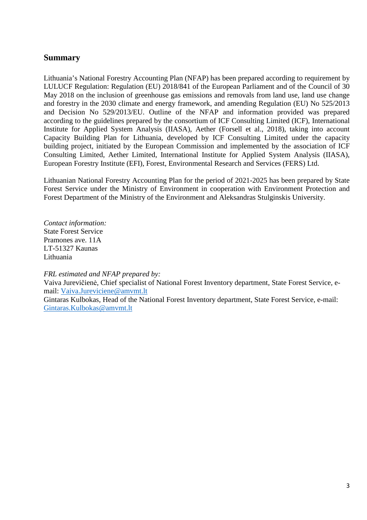## **Summary**

Lithuania's National Forestry Accounting Plan (NFAP) has been prepared according to requirement by LULUCF Regulation: Regulation (EU) 2018/841 of the European Parliament and of the Council of 30 May 2018 on the inclusion of greenhouse gas emissions and removals from land use, land use change and forestry in the 2030 climate and energy framework, and amending Regulation (EU) No 525/2013 and Decision No 529/2013/EU. Outline of the NFAP and information provided was prepared according to the guidelines prepared by the consortium of ICF Consulting Limited (ICF), International Institute for Applied System Analysis (IIASA), Aether (Forsell et al., 2018), taking into account Capacity Building Plan for Lithuania, developed by ICF Consulting Limited under the capacity building project, initiated by the European Commission and implemented by the association of ICF Consulting Limited, Aether Limited, International Institute for Applied System Analysis (IIASA), European Forestry Institute (EFI), Forest, Environmental Research and Services (FERS) Ltd.

Lithuanian National Forestry Accounting Plan for the period of 2021-2025 has been prepared by State Forest Service under the Ministry of Environment in cooperation with Environment Protection and Forest Department of the Ministry of the Environment and Aleksandras Stulginskis University.

*Contact information:*  State Forest Service Pramones ave. 11A LT-51327 Kaunas Lithuania

*FRL estimated and NFAP prepared by:* 

Vaiva Jurevičienė, Chief specialist of National Forest Inventory department, State Forest Service, email: Vaiva.Jureviciene@amvmt.lt

Gintaras Kulbokas, Head of the National Forest Inventory department, State Forest Service, e-mail: Gintaras.Kulbokas@amvmt.lt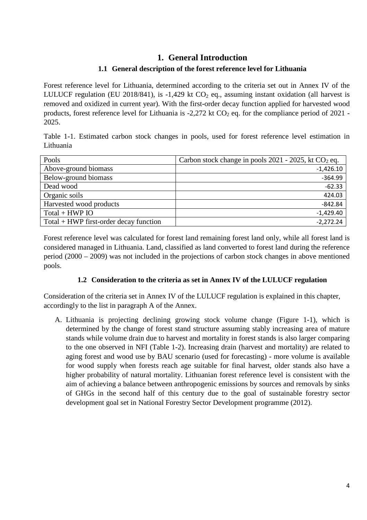## **1. General Introduction**

## **1.1 General description of the forest reference level for Lithuania**

Forest reference level for Lithuania, determined according to the criteria set out in Annex IV of the LULUCF regulation (EU 2018/841), is  $-1,429$  kt CO<sub>2</sub> eq., assuming instant oxidation (all harvest is removed and oxidized in current year). With the first-order decay function applied for harvested wood products, forest reference level for Lithuania is  $-2,272$  kt CO<sub>2</sub> eq. for the compliance period of 2021 -2025.

Table 1-1. Estimated carbon stock changes in pools, used for forest reference level estimation in Lithuania

| Pools                                    | Carbon stock change in pools $2021 - 2025$ , kt CO <sub>2</sub> eq. |
|------------------------------------------|---------------------------------------------------------------------|
| Above-ground biomass                     | $-1,426.10$                                                         |
| Below-ground biomass                     | $-364.99$                                                           |
| Dead wood                                | $-62.33$                                                            |
| Organic soils                            | 424.03                                                              |
| Harvested wood products                  | $-842.84$                                                           |
| $Total + HWP IO$                         | $-1,429.40$                                                         |
| $Total + HWP$ first-order decay function | $-2,272.24$                                                         |

Forest reference level was calculated for forest land remaining forest land only, while all forest land is considered managed in Lithuania. Land, classified as land converted to forest land during the reference period (2000 – 2009) was not included in the projections of carbon stock changes in above mentioned pools.

#### **1.2 Consideration to the criteria as set in Annex IV of the LULUCF regulation**

Consideration of the criteria set in Annex IV of the LULUCF regulation is explained in this chapter, accordingly to the list in paragraph A of the Annex.

A. Lithuania is projecting declining growing stock volume change (Figure 1-1), which is determined by the change of forest stand structure assuming stably increasing area of mature stands while volume drain due to harvest and mortality in forest stands is also larger comparing to the one observed in NFI (Table 1-2). Increasing drain (harvest and mortality) are related to aging forest and wood use by BAU scenario (used for forecasting) - more volume is available for wood supply when forests reach age suitable for final harvest, older stands also have a higher probability of natural mortality. Lithuanian forest reference level is consistent with the aim of achieving a balance between anthropogenic emissions by sources and removals by sinks of GHGs in the second half of this century due to the goal of sustainable forestry sector development goal set in National Forestry Sector Development programme (2012).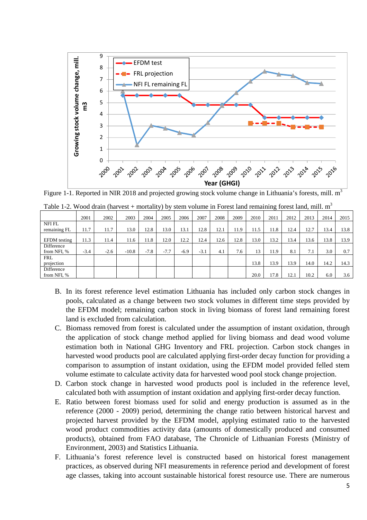

Figure 1-1. Reported in NIR 2018 and projected growing stock volume change in Lithuania's forests, mill.  $m<sup>3</sup>$ 

|                              | 2001   | 2002   | 2003    | 2004   | 2005   | 2006   | 2007   | 2008 | 2009 | 2010 | 2011 | 2012 | 2013 | 2014 | 2015 |
|------------------------------|--------|--------|---------|--------|--------|--------|--------|------|------|------|------|------|------|------|------|
| <b>NFIFL</b><br>remaining FL | 11.7   | 11.7   | 13.0    | 12.8   | 13.0   | 13.1   | 12.8   | 12.1 | 11.9 | 11.5 | 11.8 | 12.4 | 12.7 | 13.4 | 13.8 |
|                              |        |        |         |        |        |        |        |      |      |      |      |      |      |      |      |
| <b>EFDM</b> testing          | 11.3   | 11.4   | 11.6    | 11.8   | 12.0   | 12.2   | 12.4   | 12.6 | 12.8 | 13.0 | 13.2 | 13.4 | 13.6 | 13.8 | 13.9 |
| Difference<br>from NFI, %    | $-3.4$ | $-2.6$ | $-10.8$ | $-7.8$ | $-7.7$ | $-6.9$ | $-3.1$ | 4.1  | 7.6  | 13   | 11.9 | 8.1  | 7.1  | 3.0  | 0.7  |
| <b>FRL</b><br>projection     |        |        |         |        |        |        |        |      |      | 13.8 | 13.9 | 13.9 | 14.0 | 14.2 | 14.3 |
| Difference<br>from NFI, %    |        |        |         |        |        |        |        |      |      | 20.0 | 17.8 | 12.1 | 10.2 | 6.0  | 3.6  |

|  |  | Table 1-2. Wood drain (harvest + mortality) by stem volume in Forest land remaining forest land, mill. $m3$ |  |  |  |  |  |  |
|--|--|-------------------------------------------------------------------------------------------------------------|--|--|--|--|--|--|
|  |  |                                                                                                             |  |  |  |  |  |  |
|  |  |                                                                                                             |  |  |  |  |  |  |
|  |  |                                                                                                             |  |  |  |  |  |  |

- B. In its forest reference level estimation Lithuania has included only carbon stock changes in pools, calculated as a change between two stock volumes in different time steps provided by the EFDM model; remaining carbon stock in living biomass of forest land remaining forest land is excluded from calculation.
- C. Biomass removed from forest is calculated under the assumption of instant oxidation, through the application of stock change method applied for living biomass and dead wood volume estimation both in National GHG Inventory and FRL projection. Carbon stock changes in harvested wood products pool are calculated applying first-order decay function for providing a comparison to assumption of instant oxidation, using the EFDM model provided felled stem volume estimate to calculate activity data for harvested wood pool stock change projection.
- D. Carbon stock change in harvested wood products pool is included in the reference level, calculated both with assumption of instant oxidation and applying first-order decay function.
- E. Ratio between forest biomass used for solid and energy production is assumed as in the reference (2000 - 2009) period, determining the change ratio between historical harvest and projected harvest provided by the EFDM model, applying estimated ratio to the harvested wood product commodities activity data (amounts of domestically produced and consumed products), obtained from FAO database, The Chronicle of Lithuanian Forests (Ministry of Environment, 2003) and Statistics Lithuania.
- F. Lithuania's forest reference level is constructed based on historical forest management practices, as observed during NFI measurements in reference period and development of forest age classes, taking into account sustainable historical forest resource use. There are numerous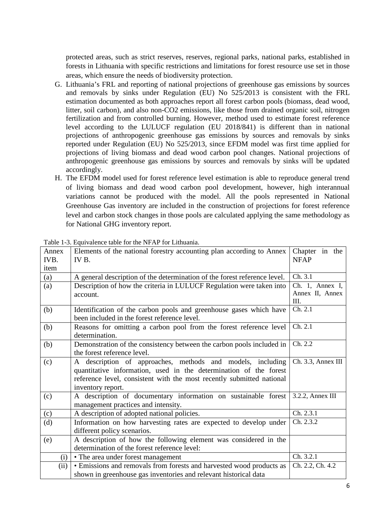protected areas, such as strict reserves, reserves, regional parks, national parks, established in forests in Lithuania with specific restrictions and limitations for forest resource use set in those areas, which ensure the needs of biodiversity protection.

- G. Lithuania's FRL and reporting of national projections of greenhouse gas emissions by sources and removals by sinks under Regulation (EU) No 525/2013 is consistent with the FRL estimation documented as both approaches report all forest carbon pools (biomass, dead wood, litter, soil carbon), and also non-CO2 emissions, like those from drained organic soil, nitrogen fertilization and from controlled burning. However, method used to estimate forest reference level according to the LULUCF regulation (EU 2018/841) is different than in national projections of anthropogenic greenhouse gas emissions by sources and removals by sinks reported under Regulation (EU) No 525/2013, since EFDM model was first time applied for projections of living biomass and dead wood carbon pool changes. National projections of anthropogenic greenhouse gas emissions by sources and removals by sinks will be updated accordingly.
- H. The EFDM model used for forest reference level estimation is able to reproduce general trend of living biomass and dead wood carbon pool development, however, high interannual variations cannot be produced with the model. All the pools represented in National Greenhouse Gas inventory are included in the construction of projections for forest reference level and carbon stock changes in those pools are calculated applying the same methodology as for National GHG inventory report.

| Annex<br>IVB. | Elements of the national forestry accounting plan according to Annex<br>IV B. | Chapter in the<br><b>NFAP</b> |  |  |  |
|---------------|-------------------------------------------------------------------------------|-------------------------------|--|--|--|
| item          |                                                                               |                               |  |  |  |
| (a)           | A general description of the determination of the forest reference level.     | Ch. 3.1                       |  |  |  |
| (a)           | Description of how the criteria in LULUCF Regulation were taken into          | Ch. 1, Annex I,               |  |  |  |
|               | account.                                                                      | Annex II, Annex               |  |  |  |
|               |                                                                               | III.                          |  |  |  |
| (b)           | Identification of the carbon pools and greenhouse gases which have            | Ch. 2.1                       |  |  |  |
|               | been included in the forest reference level.                                  |                               |  |  |  |
| (b)           | Reasons for omitting a carbon pool from the forest reference level            | Ch. 2.1                       |  |  |  |
|               | determination.                                                                |                               |  |  |  |
| (b)           | Demonstration of the consistency between the carbon pools included in         | Ch. 2.2                       |  |  |  |
|               | the forest reference level.                                                   |                               |  |  |  |
| (c)           | A description of approaches, methods and models, including                    | Ch. 3.3, Annex III            |  |  |  |
|               | quantitative information, used in the determination of the forest             |                               |  |  |  |
|               | reference level, consistent with the most recently submitted national         |                               |  |  |  |
|               | inventory report.                                                             |                               |  |  |  |
| (c)           | A description of documentary information on sustainable forest                | $3.2.2$ , Annex III           |  |  |  |
|               | management practices and intensity.                                           |                               |  |  |  |
| (c)           | A description of adopted national policies.                                   | Ch. 2.3.1                     |  |  |  |
| (d)           | Information on how harvesting rates are expected to develop under             | Ch. 2.3.2                     |  |  |  |
|               | different policy scenarios.                                                   |                               |  |  |  |
| (e)           | A description of how the following element was considered in the              |                               |  |  |  |
|               | determination of the forest reference level:                                  |                               |  |  |  |
| (i)           | • The area under forest management                                            | Ch. 3.2.1                     |  |  |  |
| (ii)          | • Emissions and removals from forests and harvested wood products as          | Ch. 2.2, Ch. 4.2              |  |  |  |
|               | shown in greenhouse gas inventories and relevant historical data              |                               |  |  |  |

Table 1-3. Equivalence table for the NFAP for Lithuania.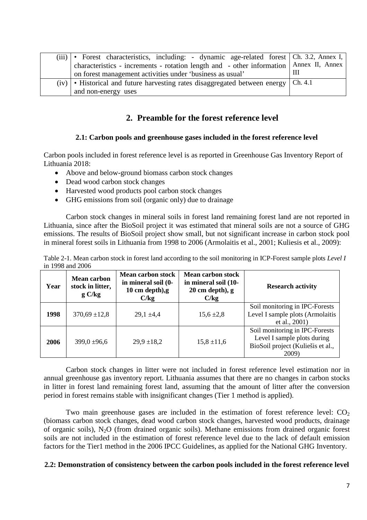| $(iii) \cdot$ | Forest characteristics, including: - dynamic age-related forest Ch. 3.2, Annex I,        |   |
|---------------|------------------------------------------------------------------------------------------|---|
|               | characteristics - increments - rotation length and - other information   Annex II, Annex |   |
|               | on forest management activities under 'business as usual'                                | Ш |
|               | $(iv)$ • Historical and future harvesting rates disaggregated between energy   Ch. 4.1   |   |
|               | and non-energy uses                                                                      |   |

## **2. Preamble for the forest reference level**

#### **2.1: Carbon pools and greenhouse gases included in the forest reference level**

Carbon pools included in forest reference level is as reported in Greenhouse Gas Inventory Report of Lithuania 2018:

- Above and below-ground biomass carbon stock changes
- Dead wood carbon stock changes
- Harvested wood products pool carbon stock changes
- GHG emissions from soil (organic only) due to drainage

Carbon stock changes in mineral soils in forest land remaining forest land are not reported in Lithuania, since after the BioSoil project it was estimated that mineral soils are not a source of GHG emissions. The results of BioSoil project show small, but not significant increase in carbon stock pool in mineral forest soils in Lithuania from 1998 to 2006 (Armolaitis et al., 2001; Kuliesis et al., 2009):

Table 2-1. Mean carbon stock in forest land according to the soil monitoring in ICP-Forest sample plots *Level I* in 1998 and 2006

| Year | <b>Mean carbon</b><br>stock in litter,<br>gC/kg | <b>Mean carbon stock</b><br>in mineral soil (0-<br>10 cm depth), $g$<br>C/kg |                 | <b>Research activity</b>                                                                                    |  |  |  |
|------|-------------------------------------------------|------------------------------------------------------------------------------|-----------------|-------------------------------------------------------------------------------------------------------------|--|--|--|
| 1998 | $370.69 \pm 12.8$                               | $29.1 \pm 4.4$                                                               | $15,6 \pm 2,8$  | Soil monitoring in IPC-Forests<br>Level I sample plots (Armolaitis<br>et al., 2001)                         |  |  |  |
| 2006 | $399.0 \pm 96.6$                                | $29.9 \pm 18.2$                                                              | $15,8 \pm 11,6$ | Soil monitoring in IPC-Forests<br>Level I sample plots during<br>BioSoil project (Kuliešis et al.,<br>2009) |  |  |  |

Carbon stock changes in litter were not included in forest reference level estimation nor in annual greenhouse gas inventory report. Lithuania assumes that there are no changes in carbon stocks in litter in forest land remaining forest land, assuming that the amount of litter after the conversion period in forest remains stable with insignificant changes (Tier 1 method is applied).

Two main greenhouse gases are included in the estimation of forest reference level:  $CO<sub>2</sub>$ (biomass carbon stock changes, dead wood carbon stock changes, harvested wood products, drainage of organic soils), N2O (from drained organic soils). Methane emissions from drained organic forest soils are not included in the estimation of forest reference level due to the lack of default emission factors for the Tier1 method in the 2006 IPCC Guidelines, as applied for the National GHG Inventory.

#### **2.2: Demonstration of consistency between the carbon pools included in the forest reference level**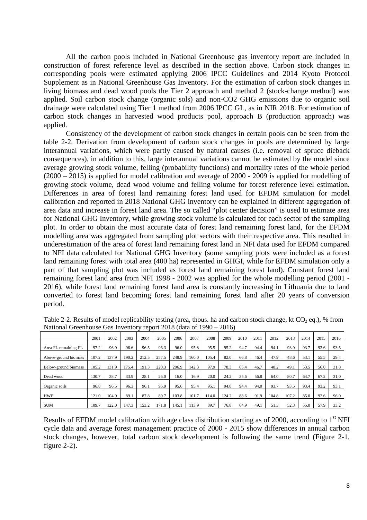All the carbon pools included in National Greenhouse gas inventory report are included in construction of forest reference level as described in the section above. Carbon stock changes in corresponding pools were estimated applying 2006 IPCC Guidelines and 2014 Kyoto Protocol Supplement as in National Greenhouse Gas Inventory. For the estimation of carbon stock changes in living biomass and dead wood pools the Tier 2 approach and method 2 (stock-change method) was applied. Soil carbon stock change (organic sols) and non-CO2 GHG emissions due to organic soil drainage were calculated using Tier 1 method from 2006 IPCC GL, as in NIR 2018. For estimation of carbon stock changes in harvested wood products pool, approach B (production approach) was applied.

Consistency of the development of carbon stock changes in certain pools can be seen from the table 2-2. Derivation from development of carbon stock changes in pools are determined by large interannual variations, which were partly caused by natural causes (i.e. removal of spruce dieback consequences), in addition to this, large interannual variations cannot be estimated by the model since average growing stock volume, felling (probability functions) and mortality rates of the whole period (2000 – 2015) is applied for model calibration and average of 2000 - 2009 is applied for modelling of growing stock volume, dead wood volume and felling volume for forest reference level estimation. Differences in area of forest land remaining forest land used for EFDM simulation for model calibration and reported in 2018 National GHG inventory can be explained in different aggregation of area data and increase in forest land area. The so called "plot center decision" is used to estimate area for National GHG Inventory, while growing stock volume is calculated for each sector of the sampling plot. In order to obtain the most accurate data of forest land remaining forest land, for the EFDM modelling area was aggregated from sampling plot sectors with their respective area. This resulted in underestimation of the area of forest land remaining forest land in NFI data used for EFDM compared to NFI data calculated for National GHG Inventory (some sampling plots were included as a forest land remaining forest with total area (400 ha) represented in GHGI, while for EFDM simulation only a part of that sampling plot was included as forest land remaining forest land). Constant forest land remaining forest land area from NFI 1998 - 2002 was applied for the whole modelling period (2001 - 2016), while forest land remaining forest land area is constantly increasing in Lithuania due to land converted to forest land becoming forest land remaining forest land after 20 years of conversion period.

|                      | 2001  | 2002  | 2003  | 2004  | 2005  | 2006  | 2007  | 2008  | 2009  | 2010 | 2011 | 2012  | 2013  | 2014 | 2015 | 2016 |
|----------------------|-------|-------|-------|-------|-------|-------|-------|-------|-------|------|------|-------|-------|------|------|------|
| Area FL remaining FL | 97.2  | 96.9  | 96.6  | 96.5  | 96.3  | 96.0  | 95.8  | 95.5  | 95.2  | 94.7 | 94.4 | 94.1  | 93.9  | 93.7 | 93.6 | 93.5 |
| Above-ground biomass | 107.2 | 137.9 | 190.2 | 212.5 | 257.5 | 248.9 | 160.0 | 105.4 | 82.0  | 66.8 | 46.4 | 47.9  | 48.6  | 53.  | 55.5 | 29.4 |
| Below-ground biomass | 105.2 | 131.9 | 175.4 | 191.3 | 220.3 | 206.9 | 142.3 | 97.9  | 78.3  | 65.4 | 46.7 | 48.2  | 49.1  | 53.5 | 56.0 | 31.8 |
| Dead wood            | 130.7 | 38.7  | 33.9  | 28.1  | 26.0  | 16.0  | 16.9  | 20.0  | 24.2  | 35.6 | 56.8 | 64.0  | 80.7  | 64.7 | 67.2 | 31.0 |
| Organic soils        | 96.8  | 96.5  | 96.3  | 96.1  | 95.9  | 95.6  | 95.4  | 95.1  | 94.8  | 94.4 | 94.0 | 93.7  | 93.5  | 93.4 | 93.2 | 93.1 |
| <b>HWP</b>           | 121.0 | 104.9 | 89.1  | 87.8  | 89.7  | 103.8 | 101.7 | 114.0 | 124.2 | 88.6 | 91.9 | 104.8 | 107.2 | 85.0 | 92.6 | 96.0 |
| <b>SUM</b>           | 109.7 | 122.0 | 147.3 | 153.2 | 171.8 | 145.1 | 113.9 | 89.7  | 76.8  | 64.9 | 49.1 | 51.3  | 52.3  | 55.0 | 57.9 | 33.2 |

Table 2-2. Results of model replicability testing (area, thous. ha and carbon stock change, kt  $CO<sub>2</sub>$  eq.), % from National Greenhouse Gas Inventory report 2018 (data of 1990 – 2016)

Results of EFDM model calibration with age class distribution starting as of 2000, according to  $1<sup>st</sup> NFI$ cycle data and average forest management practice of 2000 - 2015 show differences in annual carbon stock changes, however, total carbon stock development is following the same trend (Figure 2-1, figure 2-2).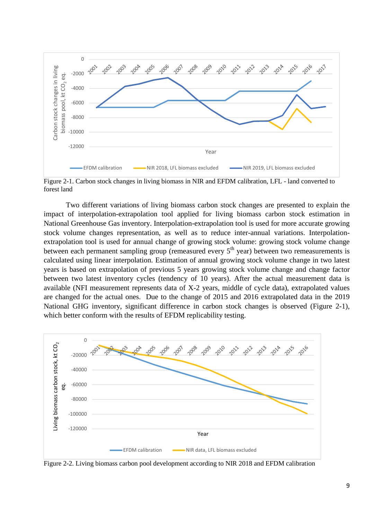

Figure 2-1. Carbon stock changes in living biomass in NIR and EFDM calibration, LFL - land converted to forest land

Two different variations of living biomass carbon stock changes are presented to explain the impact of interpolation-extrapolation tool applied for living biomass carbon stock estimation in National Greenhouse Gas inventory. Interpolation-extrapolation tool is used for more accurate growing stock volume changes representation, as well as to reduce inter-annual variations. Interpolationextrapolation tool is used for annual change of growing stock volume: growing stock volume change between each permanent sampling group (remeasured every  $5<sup>th</sup>$  year) between two remeasurements is calculated using linear interpolation. Estimation of annual growing stock volume change in two latest years is based on extrapolation of previous 5 years growing stock volume change and change factor between two latest inventory cycles (tendency of 10 years). After the actual measurement data is available (NFI measurement represents data of X-2 years, middle of cycle data), extrapolated values are changed for the actual ones. Due to the change of 2015 and 2016 extrapolated data in the 2019 National GHG inventory, significant difference in carbon stock changes is observed (Figure 2-1), which better conform with the results of EFDM replicability testing.



Figure 2-2. Living biomass carbon pool development according to NIR 2018 and EFDM calibration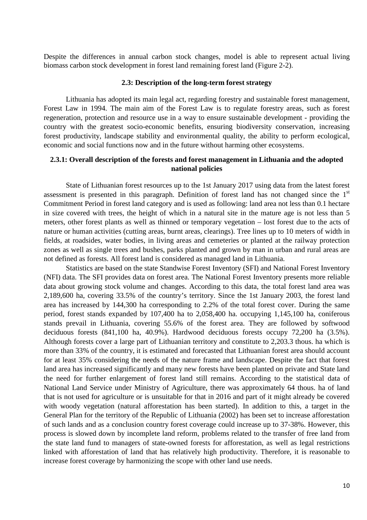Despite the differences in annual carbon stock changes, model is able to represent actual living biomass carbon stock development in forest land remaining forest land (Figure 2-2).

#### **2.3: Description of the long-term forest strategy**

Lithuania has adopted its main legal act, regarding forestry and sustainable forest management, Forest Law in 1994. The main aim of the Forest Law is to regulate forestry areas, such as forest regeneration, protection and resource use in a way to ensure sustainable development - providing the country with the greatest socio-economic benefits, ensuring biodiversity conservation, increasing forest productivity, landscape stability and environmental quality, the ability to perform ecological, economic and social functions now and in the future without harming other ecosystems.

#### **2.3.1: Overall description of the forests and forest management in Lithuania and the adopted national policies**

State of Lithuanian forest resources up to the 1st January 2017 using data from the latest forest assessment is presented in this paragraph. Definition of forest land has not changed since the 1<sup>st</sup> Commitment Period in forest land category and is used as following: land area not less than 0.1 hectare in size covered with trees, the height of which in a natural site in the mature age is not less than 5 meters, other forest plants as well as thinned or temporary vegetation – lost forest due to the acts of nature or human activities (cutting areas, burnt areas, clearings). Tree lines up to 10 meters of width in fields, at roadsides, water bodies, in living areas and cemeteries or planted at the railway protection zones as well as single trees and bushes, parks planted and grown by man in urban and rural areas are not defined as forests. All forest land is considered as managed land in Lithuania.

Statistics are based on the state Standwise Forest Inventory (SFI) and National Forest Inventory (NFI) data. The SFI provides data on forest area. The National Forest Inventory presents more reliable data about growing stock volume and changes. According to this data, the total forest land area was 2,189,600 ha, covering 33.5% of the country's territory. Since the 1st January 2003, the forest land area has increased by 144,300 ha corresponding to 2.2% of the total forest cover. During the same period, forest stands expanded by 107,400 ha to 2,058,400 ha. occupying 1,145,100 ha, coniferous stands prevail in Lithuania, covering 55.6% of the forest area. They are followed by softwood deciduous forests (841,100 ha, 40.9%). Hardwood deciduous forests occupy 72,200 ha (3.5%). Although forests cover a large part of Lithuanian territory and constitute to 2,203.3 thous. ha which is more than 33% of the country, it is estimated and forecasted that Lithuanian forest area should account for at least 35% considering the needs of the nature frame and landscape. Despite the fact that forest land area has increased significantly and many new forests have been planted on private and State land the need for further enlargement of forest land still remains. According to the statistical data of National Land Service under Ministry of Agriculture, there was approximately 64 thous. ha of land that is not used for agriculture or is unsuitable for that in 2016 and part of it might already be covered with woody vegetation (natural afforestation has been started). In addition to this, a target in the General Plan for the territory of the Republic of Lithuania (2002) has been set to increase afforestation of such lands and as a conclusion country forest coverage could increase up to 37-38%. However, this process is slowed down by incomplete land reform, problems related to the transfer of free land from the state land fund to managers of state-owned forests for afforestation, as well as legal restrictions linked with afforestation of land that has relatively high productivity. Therefore, it is reasonable to increase forest coverage by harmonizing the scope with other land use needs.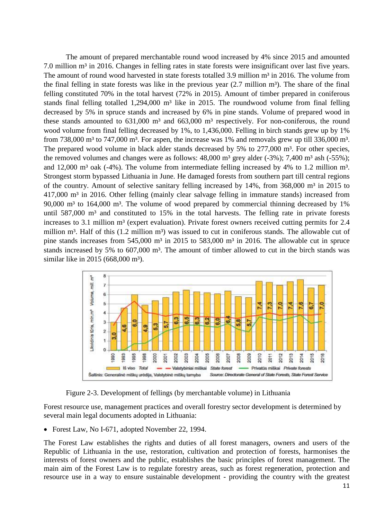The amount of prepared merchantable round wood increased by 4% since 2015 and amounted 7.0 million m<sup>3</sup> in 2016. Changes in felling rates in state forests were insignificant over last five years. The amount of round wood harvested in state forests totalled 3.9 million m<sup>3</sup> in 2016. The volume from the final felling in state forests was like in the previous year  $(2.7 \text{ million m}^3)$ . The share of the final felling constituted 70% in the total harvest (72% in 2015). Amount of timber prepared in coniferous stands final felling totalled  $1,294,000$  m<sup>3</sup> like in 2015. The roundwood volume from final felling decreased by 5% in spruce stands and increased by 6% in pine stands. Volume of prepared wood in these stands amounted to  $631,000$  m<sup>3</sup> and  $663,000$  m<sup>3</sup> respectively. For non-coniferous, the round wood volume from final felling decreased by 1%, to 1,436,000. Felling in birch stands grew up by 1% from 738,000  $m<sup>3</sup>$  to 747,000  $m<sup>3</sup>$ . For aspen, the increase was 1% and removals grew up till 336,000  $m<sup>3</sup>$ . The prepared wood volume in black alder stands decreased by 5% to 277,000 m<sup>3</sup>. For other species, the removed volumes and changes were as follows:  $48,000$  m<sup>3</sup> grey alder  $(-3%)$ ; 7,400 m<sup>3</sup> ash  $(-55%)$ ; and 12,000 m<sup>3</sup> oak (-4%). The volume from intermediate felling increased by 4% to 1.2 million m<sup>3</sup>. Strongest storm bypassed Lithuania in June. He damaged forests from southern part till central regions of the country. Amount of selective sanitary felling increased by  $14\%$ , from  $368,000$  m<sup>3</sup> in 2015 to 417,000 m<sup>3</sup> in 2016. Other felling (mainly clear salvage felling in immature stands) increased from 90,000  $m<sup>3</sup>$  to 164,000  $m<sup>3</sup>$ . The volume of wood prepared by commercial thinning decreased by 1% until  $587,000$  m<sup>3</sup> and constituted to 15% in the total harvests. The felling rate in private forests increases to 3.1 million m<sup>3</sup> (expert evaluation). Private forest owners received cutting permits for 2.4 million m<sup>3</sup>. Half of this (1.2 million m<sup>3</sup>) was issued to cut in coniferous stands. The allowable cut of pine stands increases from  $545,000$  m<sup>3</sup> in 2015 to  $583,000$  m<sup>3</sup> in 2016. The allowable cut in spruce stands increased by 5% to 607,000 m<sup>3</sup>. The amount of timber allowed to cut in the birch stands was similar like in 2015 (668,000 m<sup>3</sup>).



Figure 2-3. Development of fellings (by merchantable volume) in Lithuania

Forest resource use, management practices and overall forestry sector development is determined by several main legal documents adopted in Lithuania:

• Forest Law, No I-671, adopted November 22, 1994.

The Forest Law establishes the rights and duties of all forest managers, owners and users of the Republic of Lithuania in the use, restoration, cultivation and protection of forests, harmonises the interests of forest owners and the public, establishes the basic principles of forest management. The main aim of the Forest Law is to regulate forestry areas, such as forest regeneration, protection and resource use in a way to ensure sustainable development - providing the country with the greatest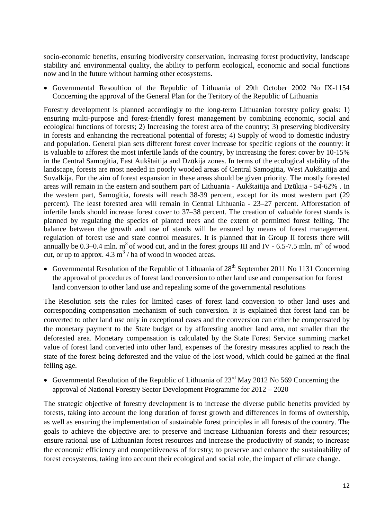socio-economic benefits, ensuring biodiversity conservation, increasing forest productivity, landscape stability and environmental quality, the ability to perform ecological, economic and social functions now and in the future without harming other ecosystems.

 Governmental Resoultion of the Republic of Lithuania of 29th October 2002 No IX-1154 Concerning the approval of the General Plan for the Teritory of the Republic of Lithuania

Forestry development is planned accordingly to the long-term Lithuanian forestry policy goals: 1) ensuring multi-purpose and forest-friendly forest management by combining economic, social and ecological functions of forests; 2) Increasing the forest area of the country; 3) preserving biodiversity in forests and enhancing the recreational potential of forests; 4) Supply of wood to domestic industry and population. General plan sets different forest cover increase for specific regions of the country: it is valuable to afforest the most infertile lands of the country, by increasing the forest cover by 10-15% in the Central Samogitia, East Aukštaitija and Dzūkija zones. In terms of the ecological stability of the landscape, forests are most needed in poorly wooded areas of Central Samogitia, West Aukštaitija and Suvalkija. For the aim of forest expansion in these areas should be given priority. The mostly forested areas will remain in the eastern and southern part of Lithuania - Aukštaitija and Dzūkija - 54-62% . In the western part, Samogitia, forests will reach 38-39 percent, except for its most western part (29 percent). The least forested area will remain in Central Lithuania - 23–27 percent. Afforestation of infertile lands should increase forest cover to 37–38 percent. The creation of valuable forest stands is planned by regulating the species of planted trees and the extent of permitted forest felling. The balance between the growth and use of stands will be ensured by means of forest management, regulation of forest use and state control measures. It is planned that in Group II forests there will annually be 0.3–0.4 mln.  $m<sup>3</sup>$  of wood cut, and in the forest groups III and IV - 6.5-7.5 mln.  $m<sup>3</sup>$  of wood cut, or up to approx.  $4.3 \text{ m}^3$  / ha of wood in wooded areas.

Governmental Resolution of the Republic of Lithuania of  $28<sup>th</sup>$  September 2011 No 1131 Concerning the approval of procedures of forest land conversion to other land use and compensation for forest land conversion to other land use and repealing some of the governmental resolutions

The Resolution sets the rules for limited cases of forest land conversion to other land uses and corresponding compensation mechanism of such conversion. It is explained that forest land can be converted to other land use only in exceptional cases and the conversion can either be compensated by the monetary payment to the State budget or by afforesting another land area, not smaller than the deforested area. Monetary compensation is calculated by the State Forest Service summing market value of forest land converted into other land, expenses of the forestry measures applied to reach the state of the forest being deforested and the value of the lost wood, which could be gained at the final felling age.

Governmental Resolution of the Republic of Lithuania of  $23<sup>rd</sup>$  May 2012 No 569 Concerning the approval of National Forestry Sector Development Programme for 2012 – 2020

The strategic objective of forestry development is to increase the diverse public benefits provided by forests, taking into account the long duration of forest growth and differences in forms of ownership, as well as ensuring the implementation of sustainable forest principles in all forests of the country. The goals to achieve the objective are: to preserve and increase Lithuanian forests and their resources; ensure rational use of Lithuanian forest resources and increase the productivity of stands; to increase the economic efficiency and competitiveness of forestry; to preserve and enhance the sustainability of forest ecosystems, taking into account their ecological and social role, the impact of climate change.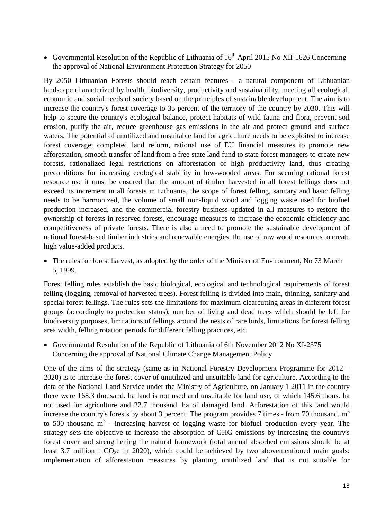Governmental Resolution of the Republic of Lithuania of  $16<sup>th</sup>$  April 2015 No XII-1626 Concerning the approval of National Environment Protection Strategy for 2050

By 2050 Lithuanian Forests should reach certain features - a natural component of Lithuanian landscape characterized by health, biodiversity, productivity and sustainability, meeting all ecological, economic and social needs of society based on the principles of sustainable development. The aim is to increase the country's forest coverage to 35 percent of the territory of the country by 2030. This will help to secure the country's ecological balance, protect habitats of wild fauna and flora, prevent soil erosion, purify the air, reduce greenhouse gas emissions in the air and protect ground and surface waters. The potential of unutilized and unsuitable land for agriculture needs to be exploited to increase forest coverage; completed land reform, rational use of EU financial measures to promote new afforestation, smooth transfer of land from a free state land fund to state forest managers to create new forests, rationalized legal restrictions on afforestation of high productivity land, thus creating preconditions for increasing ecological stability in low-wooded areas. For securing rational forest resource use it must be ensured that the amount of timber harvested in all forest fellings does not exceed its increment in all forests in Lithuania, the scope of forest felling, sanitary and basic felling needs to be harmonized, the volume of small non-liquid wood and logging waste used for biofuel production increased, and the commercial forestry business updated in all measures to restore the ownership of forests in reserved forests, encourage measures to increase the economic efficiency and competitiveness of private forests. There is also a need to promote the sustainable development of national forest-based timber industries and renewable energies, the use of raw wood resources to create high value-added products.

 The rules for forest harvest, as adopted by the order of the Minister of Environment, No 73 March 5, 1999.

Forest felling rules establish the basic biological, ecological and technological requirements of forest felling (logging, removal of harvested trees). Forest felling is divided into main, thinning, sanitary and special forest fellings. The rules sets the limitations for maximum clearcutting areas in different forest groups (accordingly to protection status), number of living and dead trees which should be left for biodiversity purposes, limitations of fellings around the nests of rare birds, limitations for forest felling area width, felling rotation periods for different felling practices, etc.

 Governmental Resolution of the Republic of Lithuania of 6th November 2012 No XI-2375 Concerning the approval of National Climate Change Management Policy

One of the aims of the strategy (same as in National Forestry Development Programme for 2012 – 2020) is to increase the forest cover of unutilized and unsuitable land for agriculture. According to the data of the National Land Service under the Ministry of Agriculture, on January 1 2011 in the country there were 168.3 thousand. ha land is not used and unsuitable for land use, of which 145.6 thous. ha not used for agriculture and 22.7 thousand. ha of damaged land. Afforestation of this land would increase the country's forests by about 3 percent. The program provides 7 times - from 70 thousand.  $m<sup>3</sup>$ to 500 thousand  $m<sup>3</sup>$  - increasing harvest of logging waste for biofuel production every year. The strategy sets the objective to increase the absorption of GHG emissions by increasing the country's forest cover and strengthening the natural framework (total annual absorbed emissions should be at least 3.7 million t  $CO<sub>2</sub>e$  in 2020), which could be achieved by two abovementioned main goals: implementation of afforestation measures by planting unutilized land that is not suitable for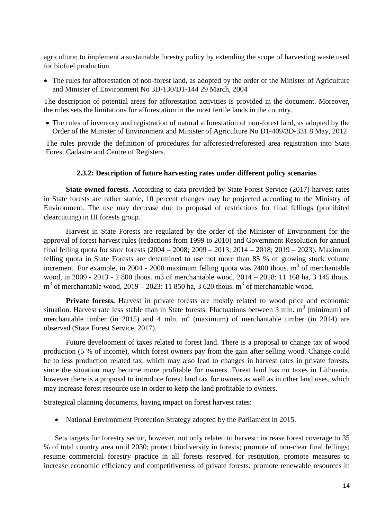agriculture; to implement a sustainable forestry policy by extending the scope of harvesting waste used for biofuel production.

• The rules for afforestation of non-forest land, as adopted by the order of the Minister of Agriculture and Minister of Environment No 3D-130/D1-144 29 March, 2004

The description of potential areas for afforestation activities is provided in the document. Moreover, the rules sets the limitations for afforestation in the most fertile lands in the country.

• The rules of inventory and registration of natural afforestation of non-forest land, as adopted by the Order of the Minister of Environment and Minister of Agriculture No D1-409/3D-331 8 May, 2012

The rules provide the definition of procedures for afforested/reforested area registration into State Forest Cadastre and Centre of Registers.

#### **2.3.2: Description of future harvesting rates under different policy scenarios**

**State owned forests**. According to data provided by State Forest Service (2017) harvest rates in State forests are rather stable, 10 percent changes may be projected according to the Ministry of Environment. The use may decrease due to proposal of restrictions for final fellings (prohibited clearcutting) in III forests group.

Harvest in State Forests are regulated by the order of the Minister of Environment for the approval of forest harvest rules (redactions from 1999 to 2010) and Government Resolution for annual final felling quota for state forests (2004 – 2008; 2009 – 2013; 2014 – 2018; 2019 – 2023). Maximum felling quota in State Forests are determined to use not more than 85 % of growing stock volume increment. For example, in 2004 - 2008 maximum felling quota was 2400 thous.  $m<sup>3</sup>$  of merchantable wood, in 2009 - 2013 - 2 800 thous. m3 of merchantable wood, 2014 – 2018: 11 168 ha, 3 145 thous.  $m<sup>3</sup>$  of merchantable wood, 2019 – 2023: 11 850 ha, 3 620 thous.  $m<sup>3</sup>$  of merchantable wood.

**Private forests.** Harvest in private forests are mostly related to wood price and economic situation. Harvest rate less stable than in State forests. Fluctuations between 3 mln.  $m^3$  (minimum) of merchantable timber (in 2015) and 4 mln.  $m<sup>3</sup>$  (maximum) of merchantable timber (in 2014) are observed (State Forest Service, 2017).

Future development of taxes related to forest land. There is a proposal to change tax of wood production (5 % of income), which forest owners pay from the gain after selling wood. Change could be to less production related tax, which may also lead to changes in harvest rates in private forests, since the situation may become more profitable for owners. Forest land has no taxes in Lithuania, however there is a proposal to introduce forest land tax for owners as well as in other land uses, which may increase forest resource use in order to keep the land profitable to owners.

Strategical planning documents, having impact on forest harvest rates:

• National Environment Protection Strategy adopted by the Parliament in 2015.

Sets targets for forestry sector, however, not only related to harvest: increase forest coverage to 35 % of total country area until 2030; protect biodiversity in forests; promote of non-clear final fellings; resume commercial forestry practice in all forests reserved for restitution, promote measures to increase economic efficiency and competitiveness of private forests; promote renewable resources in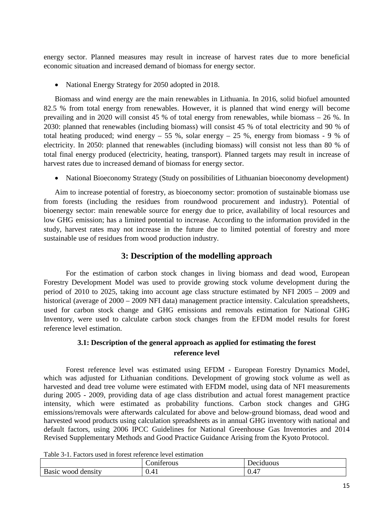energy sector. Planned measures may result in increase of harvest rates due to more beneficial economic situation and increased demand of biomass for energy sector.

• National Energy Strategy for 2050 adopted in 2018.

Biomass and wind energy are the main renewables in Lithuania. In 2016, solid biofuel amounted 82.5 % from total energy from renewables. However, it is planned that wind energy will become prevailing and in 2020 will consist 45 % of total energy from renewables, while biomass – 26 %. In 2030: planned that renewables (including biomass) will consist 45 % of total electricity and 90 % of total heating produced; wind energy – 55 %, solar energy – 25 %, energy from biomass - 9 % of electricity. In 2050: planned that renewables (including biomass) will consist not less than 80 % of total final energy produced (electricity, heating, transport). Planned targets may result in increase of harvest rates due to increased demand of biomass for energy sector.

• National Bioeconomy Strategy (Study on possibilities of Lithuanian bioeconomy development)

Aim to increase potential of forestry, as bioeconomy sector: promotion of sustainable biomass use from forests (including the residues from roundwood procurement and industry). Potential of bioenergy sector: main renewable source for energy due to price, availability of local resources and low GHG emission; has a limited potential to increase. According to the information provided in the study, harvest rates may not increase in the future due to limited potential of forestry and more sustainable use of residues from wood production industry.

## **3: Description of the modelling approach**

For the estimation of carbon stock changes in living biomass and dead wood, European Forestry Development Model was used to provide growing stock volume development during the period of 2010 to 2025, taking into account age class structure estimated by NFI 2005 – 2009 and historical (average of 2000 – 2009 NFI data) management practice intensity. Calculation spreadsheets, used for carbon stock change and GHG emissions and removals estimation for National GHG Inventory, were used to calculate carbon stock changes from the EFDM model results for forest reference level estimation.

## **3.1: Description of the general approach as applied for estimating the forest reference level**

Forest reference level was estimated using EFDM - European Forestry Dynamics Model, which was adjusted for Lithuanian conditions. Development of growing stock volume as well as harvested and dead tree volume were estimated with EFDM model, using data of NFI measurements during 2005 - 2009, providing data of age class distribution and actual forest management practice intensity, which were estimated as probability functions. Carbon stock changes and GHG emissions/removals were afterwards calculated for above and below-ground biomass, dead wood and harvested wood products using calculation spreadsheets as in annual GHG inventory with national and default factors, using 2006 IPCC Guidelines for National Greenhouse Gas Inventories and 2014 Revised Supplementary Methods and Good Practice Guidance Arising from the Kyoto Protocol.

|                          | $\cdot$<br>$\tilde{\phantom{a}}$<br>11erous<br>nи | duous<br>P<br>$\sim$<br>. |
|--------------------------|---------------------------------------------------|---------------------------|
| Basic<br>density<br>wood | 0.41                                              | 0.47                      |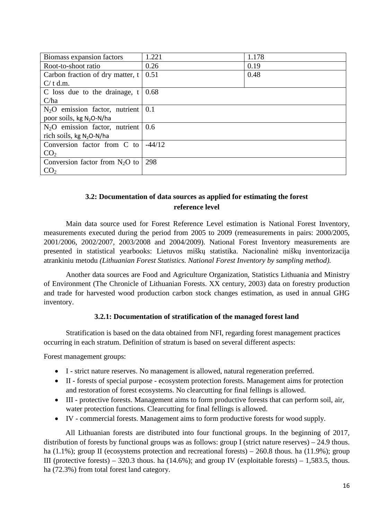| Biomass expansion factors                            | 1.221    | 1.178 |  |  |  |
|------------------------------------------------------|----------|-------|--|--|--|
| Root-to-shoot ratio                                  | 0.26     | 0.19  |  |  |  |
| Carbon fraction of dry matter, $t \mid$              | 0.51     | 0.48  |  |  |  |
| $C/t$ d.m.                                           |          |       |  |  |  |
| C loss due to the drainage, $t$                      | 0.68     |       |  |  |  |
| C/ha                                                 |          |       |  |  |  |
| $N2O$ emission factor, nutrient $ 0.1\rangle$        |          |       |  |  |  |
| poor soils, kg $N_2O-N/ha$                           |          |       |  |  |  |
| $N_2O$ emission factor, nutrient $\vert 0.6 \rangle$ |          |       |  |  |  |
| rich soils, kg $N_2O-N/ha$                           |          |       |  |  |  |
| Conversion factor from C to                          | $-44/12$ |       |  |  |  |
| CO <sub>2</sub>                                      |          |       |  |  |  |
| Conversion factor from $N_2O$ to                     | 298      |       |  |  |  |
| CO <sub>2</sub>                                      |          |       |  |  |  |

## **3.2: Documentation of data sources as applied for estimating the forest reference level**

Main data source used for Forest Reference Level estimation is National Forest Inventory, measurements executed during the period from 2005 to 2009 (remeasurements in pairs: 2000/2005, 2001/2006, 2002/2007, 2003/2008 and 2004/2009). National Forest Inventory measurements are presented in statistical yearbooks: Lietuvos miškų statistika. Nacionalinė miškų inventorizacija atrankiniu metodu *(Lithuanian Forest Statistics. National Forest Inventory by sampling method).*

Another data sources are Food and Agriculture Organization, Statistics Lithuania and Ministry of Environment (The Chronicle of Lithuanian Forests. XX century, 2003) data on forestry production and trade for harvested wood production carbon stock changes estimation, as used in annual GHG inventory.

#### **3.2.1: Documentation of stratification of the managed forest land**

Stratification is based on the data obtained from NFI, regarding forest management practices occurring in each stratum. Definition of stratum is based on several different aspects:

Forest management groups:

- I strict nature reserves. No management is allowed, natural regeneration preferred.
- II forests of special purpose ecosystem protection forests. Management aims for protection and restoration of forest ecosystems. No clearcutting for final fellings is allowed.
- III protective forests. Management aims to form productive forests that can perform soil, air, water protection functions. Clearcutting for final fellings is allowed.
- IV commercial forests. Management aims to form productive forests for wood supply.

All Lithuanian forests are distributed into four functional groups. In the beginning of 2017, distribution of forests by functional groups was as follows: group I (strict nature reserves) – 24.9 thous. ha (1.1%); group II (ecosystems protection and recreational forests) – 260.8 thous. ha (11.9%); group III (protective forests) – 320.3 thous. ha  $(14.6\%)$ ; and group IV (exploitable forests) – 1,583.5, thous. ha (72.3%) from total forest land category.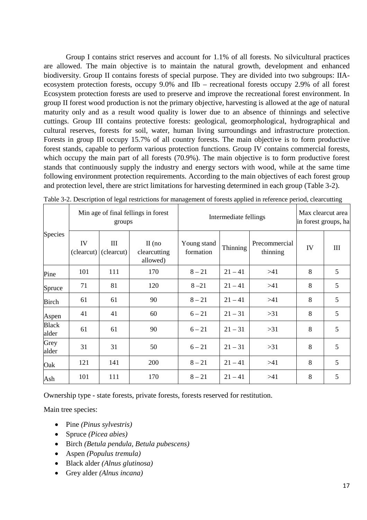Group I contains strict reserves and account for 1.1% of all forests. No silvicultural practices are allowed. The main objective is to maintain the natural growth, development and enhanced biodiversity. Group II contains forests of special purpose. They are divided into two subgroups: IIAecosystem protection forests, occupy 9.0% and IIb – recreational forests occupy 2.9% of all forest Ecosystem protection forests are used to preserve and improve the recreational forest environment. In group II forest wood production is not the primary objective, harvesting is allowed at the age of natural maturity only and as a result wood quality is lower due to an absence of thinnings and selective cuttings. Group III contains protective forests: geological, geomorphological, hydrographical and cultural reserves, forests for soil, water, human living surroundings and infrastructure protection. Forests in group III occupy 15.7% of all country forests. The main objective is to form productive forest stands, capable to perform various protection functions. Group IV contains commercial forests, which occupy the main part of all forests (70.9%). The main objective is to form productive forest stands that continuously supply the industry and energy sectors with wood, while at the same time following environment protection requirements. According to the main objectives of each forest group and protection level, there are strict limitations for harvesting determined in each group (Table 3-2).

|                       |                  | groups            | Min age of final fellings in forest  | Intermediate fellings    | Max clearcut area<br>in forest groups, ha |                           |    |     |
|-----------------------|------------------|-------------------|--------------------------------------|--------------------------|-------------------------------------------|---------------------------|----|-----|
| Species               | IV<br>(clearcut) | III<br>(clearcut) | $II$ (no<br>clearcutting<br>allowed) | Young stand<br>formation | Thinning                                  | Precommercial<br>thinning | IV | III |
| Pine                  | 101              | 111               | 170                                  | $8 - 21$                 | $21 - 41$                                 | >41                       | 8  | 5   |
| Spruce                | 71               | 81                | 120                                  | $8 - 21$                 | $21 - 41$                                 | >41                       | 8  | 5   |
| <b>Birch</b>          | 61               | 61                | 90                                   | $8 - 21$                 | $21 - 41$                                 | >41                       | 8  | 5   |
| Aspen                 | 41               | 41                | 60                                   | $6 - 21$                 | $21 - 31$                                 | $>31$                     | 8  | 5   |
| <b>Black</b><br>alder | 61               | 61                | 90                                   | $6 - 21$                 | $21 - 31$                                 | $>31$                     | 8  | 5   |
| Grey<br>alder         | 31               | 31                | 50                                   | $6 - 21$                 | $21 - 31$                                 | >31                       | 8  | 5   |
| Oak                   | 121              | 141               | 200                                  | $8 - 21$                 | $21 - 41$                                 | >41                       | 8  | 5   |
| Ash                   | 101              | 111               | 170                                  | $8 - 21$                 | $21 - 41$                                 | >41                       | 8  | 5   |

Table 3-2. Description of legal restrictions for management of forests applied in reference period, clearcutting

Ownership type - state forests, private forests, forests reserved for restitution.

Main tree species:

- Pine *(Pinus sylvestris)*
- Spruce *(Picea abies)*
- Birch *(Betula pendula, Betula pubescens)*
- Aspen *(Populus tremula)*
- Black alder *(Alnus glutinosa)*
- Grey alder *(Alnus incana)*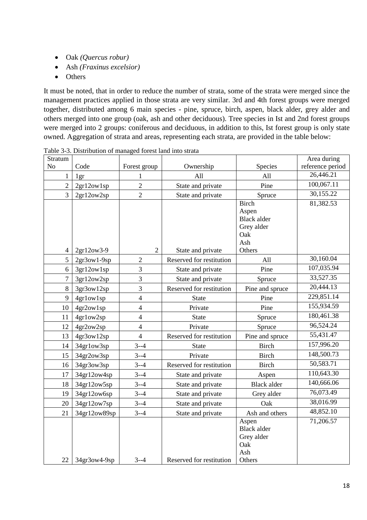- Oak *(Quercus robur)*
- Ash *(Fraxinus excelsior)*
- Others

It must be noted, that in order to reduce the number of strata, some of the strata were merged since the management practices applied in those strata are very similar. 3rd and 4th forest groups were merged together, distributed among 6 main species - pine, spruce, birch, aspen, black alder, grey alder and others merged into one group (oak, ash and other deciduous). Tree species in Ist and 2nd forest groups were merged into 2 groups: coniferous and deciduous, in addition to this, Ist forest group is only state owned. Aggregation of strata and areas, representing each strata, are provided in the table below:

| Stratum        |               |                |                          |                             | Area during      |
|----------------|---------------|----------------|--------------------------|-----------------------------|------------------|
| N <sub>o</sub> | Code          | Forest group   | Ownership                | Species                     | reference period |
| 1              | 1gr           | 1              | All                      | All                         | 26,446.21        |
| $\overline{2}$ | 2gr12ow1sp    | $\overline{2}$ | State and private        | Pine                        | 100,067.11       |
| 3              | 2gr12ow2sp    | $\overline{2}$ | State and private        | Spruce                      | 30,155.22        |
|                |               |                |                          | <b>Birch</b>                | 81,382.53        |
|                |               |                |                          | Aspen<br><b>Black alder</b> |                  |
|                |               |                |                          | Grey alder                  |                  |
|                |               |                |                          | Oak                         |                  |
|                |               |                |                          | Ash                         |                  |
| $\overline{4}$ | 2gr12ow3-9    | $\overline{2}$ | State and private        | Others                      |                  |
| 5              | $2gr3ow1-9sp$ | $\overline{2}$ | Reserved for restitution | All                         | 30,160.04        |
| 6              | 3gr12ow1sp    | $\overline{3}$ | State and private        | Pine                        | 107,035.94       |
| $\overline{7}$ | 3gr12ow2sp    | 3              | State and private        | Spruce                      | 33,527.35        |
| 8              | 3gr3ow12sp    | $\overline{3}$ | Reserved for restitution | Pine and spruce             | 20,444.13        |
| 9              | 4gr1ow1sp     | $\overline{4}$ | <b>State</b>             | Pine                        | 229,851.14       |
| 10             | 4gr2ow1sp     | $\overline{4}$ | Private                  | Pine                        | 155,934.59       |
| 11             | 4gr1ow2sp     | $\overline{4}$ | <b>State</b>             | Spruce                      | 180,461.38       |
| 12             | 4gr2ow2sp     | $\overline{4}$ | Private                  | Spruce                      | 96,524.24        |
| 13             | 4gr3ow12sp    | $\overline{4}$ | Reserved for restitution | Pine and spruce             | 55,431.47        |
| 14             | 34gr1ow3sp    | $3 - -4$       | <b>State</b>             | <b>Birch</b>                | 157,996.20       |
| 15             | 34gr2ow3sp    | $3 - -4$       | Private                  | <b>Birch</b>                | 148,500.73       |
| 16             | 34gr3ow3sp    | $3 - -4$       | Reserved for restitution | <b>Birch</b>                | 50,583.71        |
| 17             | 34gr12ow4sp   | $3 - -4$       | State and private        | Aspen                       | 110,643.30       |
| 18             | 34gr12ow5sp   | $3 - -4$       | State and private        | <b>Black alder</b>          | 140,666.06       |
| 19             | 34gr12ow6sp   | $3 - -4$       | State and private        | Grey alder                  | 76,073.49        |
| 20             | 34gr12ow7sp   | $3 - -4$       | State and private        | Oak                         | 38,016.99        |
| 21             | 34gr12ow89sp  | $3 - -4$       | State and private        | Ash and others              | 48,852.10        |
|                |               |                |                          | Aspen                       | 71,206.57        |
|                |               |                |                          | <b>Black alder</b>          |                  |
|                |               |                |                          | Grey alder                  |                  |
|                |               |                |                          | Oak                         |                  |
| 22             | 34gr3ow4-9sp  | $3 - 4$        | Reserved for restitution | Ash<br>Others               |                  |
|                |               |                |                          |                             |                  |

Table 3-3. Distribution of managed forest land into strata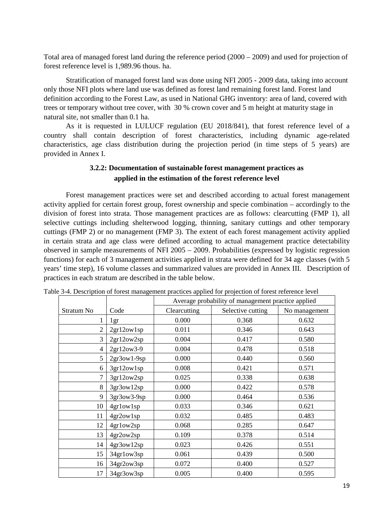Total area of managed forest land during the reference period (2000 – 2009) and used for projection of forest reference level is 1,989.96 thous. ha.

Stratification of managed forest land was done using NFI 2005 - 2009 data, taking into account only those NFI plots where land use was defined as forest land remaining forest land. Forest land definition according to the Forest Law, as used in National GHG inventory: area of land, covered with trees or temporary without tree cover, with 30 % crown cover and 5 m height at maturity stage in natural site, not smaller than 0.1 ha.

As it is requested in LULUCF regulation (EU 2018/841), that forest reference level of a country shall contain description of forest characteristics, including dynamic age-related characteristics, age class distribution during the projection period (in time steps of 5 years) are provided in Annex I.

## **3.2.2: Documentation of sustainable forest management practices as applied in the estimation of the forest reference level**

Forest management practices were set and described according to actual forest management activity applied for certain forest group, forest ownership and specie combination – accordingly to the division of forest into strata. Those management practices are as follows: clearcutting (FMP 1), all selective cuttings including shelterwood logging, thinning, sanitary cuttings and other temporary cuttings (FMP 2) or no management (FMP 3). The extent of each forest management activity applied in certain strata and age class were defined according to actual management practice detectability observed in sample measurements of NFI 2005 – 2009. Probabilities (expressed by logistic regression functions) for each of 3 management activities applied in strata were defined for 34 age classes (with 5 years' time step), 16 volume classes and summarized values are provided in Annex III. Description of practices in each stratum are described in the table below.

|                |               |              | Average probability of management practice applied |               |
|----------------|---------------|--------------|----------------------------------------------------|---------------|
| Stratum No     | Code          | Clearcutting | Selective cutting                                  | No management |
| 1              | 1gr           | 0.000        | 0.368                                              | 0.632         |
| $\overline{2}$ | 2gr12ow1sp    | 0.011        | 0.346                                              | 0.643         |
| 3              | 2gr12ow2sp    | 0.004        | 0.417                                              | 0.580         |
| $\overline{4}$ | 2gr12ow3-9    | 0.004        | 0.478                                              | 0.518         |
| 5              | $2gr3ow1-9sp$ | 0.000        | 0.440                                              | 0.560         |
| 6              | 3gr12ow1sp    | 0.008        | 0.421                                              | 0.571         |
| $\overline{7}$ | 3gr12ow2sp    | 0.025        | 0.338                                              | 0.638         |
| 8              | 3gr3ow12sp    | 0.000        | 0.422                                              | 0.578         |
| 9              | 3gr3ow3-9sp   | 0.000        | 0.464                                              | 0.536         |
| 10             | 4gr1ow1sp     | 0.033        | 0.346                                              | 0.621         |
| 11             | 4gr2ow1sp     | 0.032        | 0.485                                              | 0.483         |
| 12             | 4gr1ow2sp     | 0.068        | 0.285                                              | 0.647         |
| 13             | 4gr2ow2sp     | 0.109        | 0.378                                              | 0.514         |
| 14             | 4gr3ow12sp    | 0.023        | 0.426                                              | 0.551         |
| 15             | 34gr1ow3sp    | 0.061        | 0.439                                              | 0.500         |
| 16             | 34gr2ow3sp    | 0.072        | 0.400                                              | 0.527         |
| 17             | 34gr3ow3sp    | 0.005        | 0.400                                              | 0.595         |

Table 3-4. Description of forest management practices applied for projection of forest reference level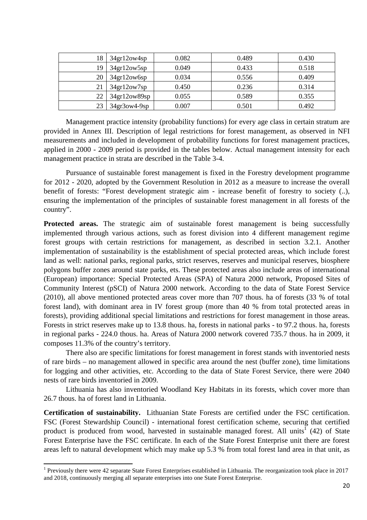| 18 | 34gr12ow4sp    | 0.082 | 0.489 | 0.430 |
|----|----------------|-------|-------|-------|
| 19 | 34gr12ow5sp    | 0.049 | 0.433 | 0.518 |
| 20 | 34gr12ow6sp    | 0.034 | 0.556 | 0.409 |
|    | 34gr12ow7sp    | 0.450 | 0.236 | 0.314 |
| 22 | 34gr12ow89sp   | 0.055 | 0.589 | 0.355 |
| 23 | $34gr3ow4-9sp$ | 0.007 | 0.501 | 0.492 |

Management practice intensity (probability functions) for every age class in certain stratum are provided in Annex III. Description of legal restrictions for forest management, as observed in NFI measurements and included in development of probability functions for forest management practices, applied in 2000 - 2009 period is provided in the tables below. Actual management intensity for each management practice in strata are described in the Table 3-4.

Pursuance of sustainable forest management is fixed in the Forestry development programme for 2012 - 2020, adopted by the Government Resolution in 2012 as a measure to increase the overall benefit of forests: "Forest development strategic aim - increase benefit of forestry to society (..), ensuring the implementation of the principles of sustainable forest management in all forests of the country".

**Protected areas.** The strategic aim of sustainable forest management is being successfully implemented through various actions, such as forest division into 4 different management regime forest groups with certain restrictions for management, as described in section 3.2.1. Another implementation of sustainability is the establishment of special protected areas, which include forest land as well: national parks, regional parks, strict reserves, reserves and municipal reserves, biosphere polygons buffer zones around state parks, ets. These protected areas also include areas of international (European) importance: Special Protected Areas (SPA) of Natura 2000 network, Proposed Sites of Community Interest (pSCI) of Natura 2000 network. According to the data of State Forest Service (2010), all above mentioned protected areas cover more than 707 thous. ha of forests (33 % of total forest land), with dominant area in IV forest group (more than 40 % from total protected areas in forests), providing additional special limitations and restrictions for forest management in those areas. Forests in strict reserves make up to 13.8 thous. ha, forests in national parks - to 97.2 thous. ha, forests in regional parks - 224.0 thous. ha. Areas of Natura 2000 network covered 735.7 thous. ha in 2009, it composes 11.3% of the country's territory.

There also are specific limitations for forest management in forest stands with inventoried nests of rare birds – no management allowed in specific area around the nest (buffer zone), time limitations for logging and other activities, etc. According to the data of State Forest Service, there were 2040 nests of rare birds inventoried in 2009.

Lithuania has also inventoried Woodland Key Habitats in its forests, which cover more than 26.7 thous. ha of forest land in Lithuania.

**Certification of sustainability.** Lithuanian State Forests are certified under the FSC certification. FSC (Forest Stewardship Council) - international forest certification scheme, securing that certified product is produced from wood, harvested in sustainable managed forest. All units<sup>1</sup> (42) of State Forest Enterprise have the FSC certificate. In each of the State Forest Enterprise unit there are forest areas left to natural development which may make up 5.3 % from total forest land area in that unit, as

 $\overline{a}$ 

<sup>&</sup>lt;sup>1</sup> Previously there were 42 separate State Forest Enterprises established in Lithuania. The reorganization took place in 2017 and 2018, continuously merging all separate enterprises into one State Forest Enterprise.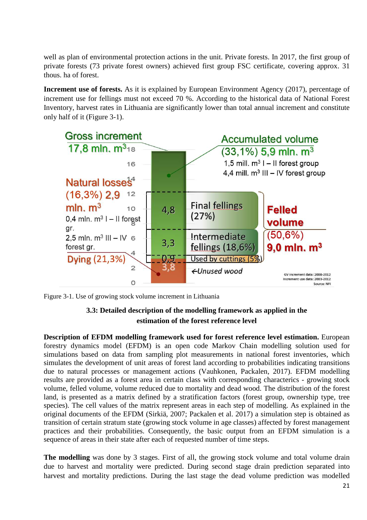well as plan of environmental protection actions in the unit. Private forests. In 2017, the first group of private forests (73 private forest owners) achieved first group FSC certificate, covering approx. 31 thous. ha of forest.

**Increment use of forests.** As it is explained by European Environment Agency (2017), percentage of increment use for fellings must not exceed 70 %. According to the historical data of National Forest Inventory, harvest rates in Lithuania are significantly lower than total annual increment and constitute only half of it (Figure 3-1).



Figure 3-1. Use of growing stock volume increment in Lithuania

## **3.3: Detailed description of the modelling framework as applied in the estimation of the forest reference level**

**Description of EFDM modelling framework used for forest reference level estimation.** European forestry dynamics model (EFDM) is an open code Markov Chain modelling solution used for simulations based on data from sampling plot measurements in national forest inventories, which simulates the development of unit areas of forest land according to probabilities indicating transitions due to natural processes or management actions (Vauhkonen, Packalen, 2017). EFDM modelling results are provided as a forest area in certain class with corresponding characterics - growing stock volume, felled volume, volume reduced due to mortality and dead wood. The distribution of the forest land, is presented as a matrix defined by a stratification factors (forest group, ownership type, tree species). The cell values of the matrix represent areas in each step of modelling. As explained in the original documents of the EFDM (Sirkiä, 2007; Packalen et al. 2017) a simulation step is obtained as transition of certain stratum state (growing stock volume in age classes) affected by forest management practices and their probabilities. Consequently, the basic output from an EFDM simulation is a sequence of areas in their state after each of requested number of time steps.

**The modelling** was done by 3 stages. First of all, the growing stock volume and total volume drain due to harvest and mortality were predicted. During second stage drain prediction separated into harvest and mortality predictions. During the last stage the dead volume prediction was modelled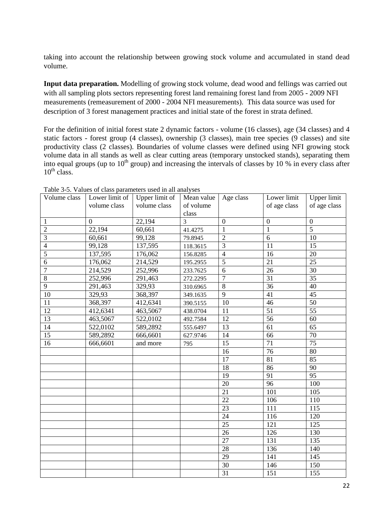taking into account the relationship between growing stock volume and accumulated in stand dead volume.

**Input data preparation.** Modelling of growing stock volume, dead wood and fellings was carried out with all sampling plots sectors representing forest land remaining forest land from 2005 - 2009 NFI measurements (remeasurement of 2000 - 2004 NFI measurements). This data source was used for description of 3 forest management practices and initial state of the forest in strata defined.

For the definition of initial forest state 2 dynamic factors - volume (16 classes), age (34 classes) and 4 static factors - forest group (4 classes), ownership (3 classes), main tree species (9 classes) and site productivity class (2 classes). Boundaries of volume classes were defined using NFI growing stock volume data in all stands as well as clear cutting areas (temporary unstocked stands), separating them into equal groups (up to  $10^{th}$  group) and increasing the intervals of classes by 10 % in every class after  $10^{th}$  class.

| Volume class    | Lower limit of   | Upper limit of | Mean value | Age class       | Lower limit     | <b>Upper limit</b> |
|-----------------|------------------|----------------|------------|-----------------|-----------------|--------------------|
|                 | volume class     | volume class   | of volume  |                 | of age class    | of age class       |
|                 |                  |                | class      |                 |                 |                    |
| $\mathbf{1}$    | $\boldsymbol{0}$ | 22,194         | 3          | $\overline{0}$  | $\mathbf{0}$    | $\boldsymbol{0}$   |
| $\overline{c}$  | 22,194           | 60,661         | 41.4275    | $\mathbf{1}$    | $\mathbf{1}$    | $\overline{5}$     |
| $\overline{3}$  | 60,661           | 99,128         | 79.8945    | $\overline{2}$  | 6               | 10                 |
| $\overline{4}$  | 99,128           | 137,595        | 118.3615   | $\overline{3}$  | 11              | 15                 |
| $\overline{5}$  | 137,595          | 176,062        | 156.8285   | $\overline{4}$  | 16              | 20                 |
| $\overline{6}$  | 176,062          | 214,529        | 195.2955   | $\overline{5}$  | 21              | $\overline{25}$    |
| $\overline{7}$  | 214,529          | 252,996        | 233.7625   | 6               | 26              | 30                 |
| $\overline{8}$  | 252,996          | 291,463        | 272.2295   | $\overline{7}$  | 31              | $\overline{35}$    |
| $\overline{9}$  | 291,463          | 329,93         | 310.6965   | $8\,$           | 36              | 40                 |
| 10              | 329,93           | 368,397        | 349.1635   | $\overline{9}$  | 41              | 45                 |
| 11              | 368,397          | 412,6341       | 390.5155   | $\overline{10}$ | 46              | 50                 |
| $\overline{12}$ | 412,6341         | 463,5067       | 438.0704   | 11              | $\overline{51}$ | $\overline{55}$    |
| $\overline{13}$ | 463,5067         | 522,0102       | 492.7584   | 12              | 56              | 60                 |
| 14              | 522,0102         | 589,2892       | 555.6497   | 13              | 61              | 65                 |
| 15              | 589,2892         | 666,6601       | 627.9746   | 14              | 66              | 70                 |
| 16              | 666,6601         | and more       | 795        | 15              | 71              | 75                 |
|                 |                  |                |            | 16              | 76              | 80                 |
|                 |                  |                |            | 17              | 81              | 85                 |
|                 |                  |                |            | $\overline{18}$ | 86              | 90                 |
|                 |                  |                |            | 19              | 91              | $\overline{95}$    |
|                 |                  |                |            | $\overline{20}$ | 96              | 100                |
|                 |                  |                |            | 21              | 101             | 105                |
|                 |                  |                |            | $\overline{22}$ | 106             | 110                |
|                 |                  |                |            | 23              | 111             | 115                |
|                 |                  |                |            | $\overline{24}$ | 116             | 120                |
|                 |                  |                |            | $\overline{25}$ | 121             | 125                |
|                 |                  |                |            | 26              | 126             | 130                |
|                 |                  |                |            | $\overline{27}$ | 131             | 135                |
|                 |                  |                |            | $\overline{28}$ | 136             | 140                |
|                 |                  |                |            | 29              | 141             | 145                |
|                 |                  |                |            | 30              | 146             | 150                |
|                 |                  |                |            | 31              | 151             | 155                |

Table 3-5. Values of class parameters used in all analyses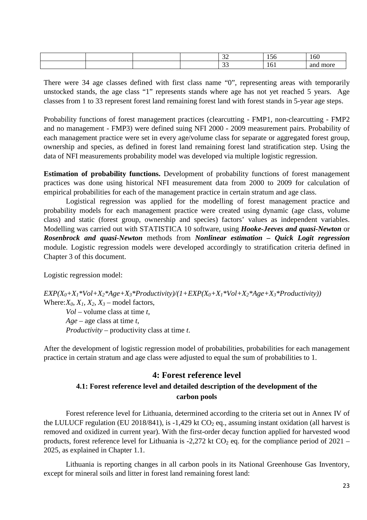|  |  | $\sim$<br>$\sim$<br><br>$-$ | 1 J U             | $\epsilon$<br>10 <sub>0</sub> |
|--|--|-----------------------------|-------------------|-------------------------------|
|  |  | $\sim$<br><u>. .</u>        | $\epsilon$<br>161 | more<br>and                   |

There were 34 age classes defined with first class name "0", representing areas with temporarily unstocked stands, the age class "1" represents stands where age has not yet reached 5 years. Age classes from 1 to 33 represent forest land remaining forest land with forest stands in 5-year age steps.

Probability functions of forest management practices (clearcutting - FMP1, non-clearcutting - FMP2 and no management - FMP3) were defined suing NFI 2000 - 2009 measurement pairs. Probability of each management practice were set in every age/volume class for separate or aggregated forest group, ownership and species, as defined in forest land remaining forest land stratification step. Using the data of NFI measurements probability model was developed via multiple logistic regression.

**Estimation of probability functions.** Development of probability functions of forest management practices was done using historical NFI measurement data from 2000 to 2009 for calculation of empirical probabilities for each of the management practice in certain stratum and age class.

Logistical regression was applied for the modelling of forest management practice and probability models for each management practice were created using dynamic (age class, volume class) and static (forest group, ownership and species) factors' values as independent variables. Modelling was carried out with STATISTICA 10 software, using *Hooke-Jeeves and quasi-Newton* or *Rosenbrock and quasi-Newton* methods from *Nonlinear estimation – Quick Logit regression* module. Logistic regression models were developed accordingly to stratification criteria defined in Chapter 3 of this document.

Logistic regression model:

 $EXP(X_0+X_1*Vol+X_2*Age+X_3*Productivity)/(1+EXP(X_0+X_1*Vol+X_2*Age+X_3*Productivity))$ Where:  $X_0$ ,  $X_1$ ,  $X_2$ ,  $X_3$  – model factors, *Vol* – volume class at time *t*, *Age* – age class at time *t*, *Productivity* – productivity class at time *t*.

After the development of logistic regression model of probabilities, probabilities for each management practice in certain stratum and age class were adjusted to equal the sum of probabilities to 1.

#### **4: Forest reference level**

### **4.1: Forest reference level and detailed description of the development of the carbon pools**

Forest reference level for Lithuania, determined according to the criteria set out in Annex IV of the LULUCF regulation (EU 2018/841), is -1,429 kt  $CO<sub>2</sub>$  eq., assuming instant oxidation (all harvest is removed and oxidized in current year). With the first-order decay function applied for harvested wood products, forest reference level for Lithuania is -2,272 kt  $CO<sub>2</sub>$  eq. for the compliance period of 2021 – 2025, as explained in Chapter 1.1.

Lithuania is reporting changes in all carbon pools in its National Greenhouse Gas Inventory, except for mineral soils and litter in forest land remaining forest land: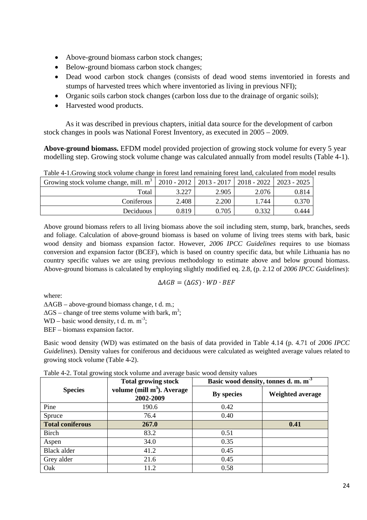- Above-ground biomass carbon stock changes;
- Below-ground biomass carbon stock changes;
- Dead wood carbon stock changes (consists of dead wood stems inventoried in forests and stumps of harvested trees which where inventoried as living in previous NFI);
- Organic soils carbon stock changes (carbon loss due to the drainage of organic soils);
- Harvested wood products.

As it was described in previous chapters, initial data source for the development of carbon stock changes in pools was National Forest Inventory, as executed in 2005 – 2009.

**Above-ground biomass.** EFDM model provided projection of growing stock volume for every 5 year modelling step. Growing stock volume change was calculated annually from model results (Table 4-1).

| Growing stock volume change, mill. m <sup>3</sup>   2010 - 2012   2013 - 2017   2018 - 2022   2023 - 2025 |       |       |       |       |
|-----------------------------------------------------------------------------------------------------------|-------|-------|-------|-------|
| Total                                                                                                     | 3.227 | 2.905 | 2.076 | 0.814 |
| Coniferous                                                                                                | 2.408 | 2.200 | 1.744 | 0.370 |
| Deciduous                                                                                                 | 0.819 | 0.705 | 0.332 | 0.444 |

Table 4-1.Growing stock volume change in forest land remaining forest land, calculated from model results

Above ground biomass refers to all living biomass above the soil including stem, stump, bark, branches, seeds and foliage. Calculation of above-ground biomass is based on volume of living trees stems with bark, basic wood density and biomass expansion factor. However, *2006 IPCC Guidelines* requires to use biomass conversion and expansion factor (BCEF), which is based on country specific data, but while Lithuania has no country specific values we are using previous methodology to estimate above and below ground biomass. Above-ground biomass is calculated by employing slightly modified eq. 2.8, (p. 2.12 of *2006 IPCC Guidelines*):

$$
\Delta AGB=(\Delta GS)\cdot WD\cdot BEF
$$

where:

∆AGB – above-ground biomass change, t d. m.;

 $\Delta$ GS – change of tree stems volume with bark, m<sup>3</sup>;

WD – basic wood density, t d. m.  $m^{-3}$ ;

BEF – biomass expansion factor.

Basic wood density (WD) was estimated on the basis of data provided in Table 4.14 (p. 4.71 of *2006 IPCC Guidelines*). Density values for coniferous and deciduous were calculated as weighted average values related to growing stock volume (Table 4-2).

|  |  | Table 4-2. Total growing stock volume and average basic wood density values |
|--|--|-----------------------------------------------------------------------------|
|  |  |                                                                             |

| $\circ$                 | <b>Total growing stock</b>                | Basic wood density, tonnes d.m.m <sup>-3</sup> |                  |  |
|-------------------------|-------------------------------------------|------------------------------------------------|------------------|--|
| <b>Species</b>          | volume (mill $m3$ ). Average<br>2002-2009 | <b>By species</b>                              | Weighted average |  |
| Pine                    | 190.6                                     | 0.42                                           |                  |  |
| Spruce                  | 76.4                                      | 0.40                                           |                  |  |
| <b>Total coniferous</b> | 267.0                                     |                                                | 0.41             |  |
| <b>Birch</b>            | 83.2                                      | 0.51                                           |                  |  |
| Aspen                   | 34.0                                      | 0.35                                           |                  |  |
| <b>Black alder</b>      | 41.2                                      | 0.45                                           |                  |  |
| Grey alder              | 21.6                                      | 0.45                                           |                  |  |
| Oak                     | 11.2                                      | 0.58                                           |                  |  |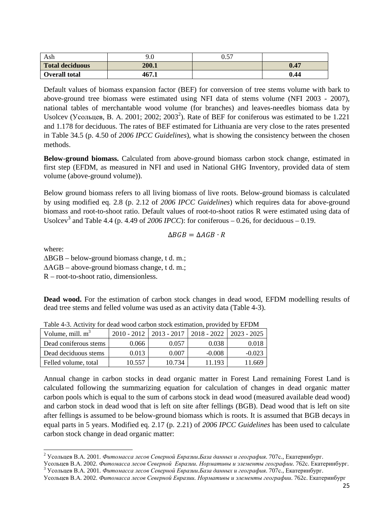| Ash                    | 9.0   | Λ 57<br>U.J |      |
|------------------------|-------|-------------|------|
| <b>Total deciduous</b> | 200.1 |             | 0.47 |
| <b>Overall total</b>   | 467.1 |             | 0.44 |

Default values of biomass expansion factor (BEF) for conversion of tree stems volume with bark to above-ground tree biomass were estimated using NFI data of stems volume (NFI 2003 - 2007), national tables of merchantable wood volume (for branches) and leaves-needles biomass data by Usolcev (Усольцев, В. А. 2001; 2002; 2003<sup>2</sup>). Rate of BEF for coniferous was estimated to be 1.221 and 1.178 for deciduous. The rates of BEF estimated for Lithuania are very close to the rates presented in Table 34.5 (p. 4.50 of *2006 IPCC Guidelines*), what is showing the consistency between the chosen methods.

**Below-ground biomass.** Calculated from above-ground biomass carbon stock change, estimated in first step (EFDM, as measured in NFI and used in National GHG Inventory, provided data of stem volume (above-ground volume)).

Below ground biomass refers to all living biomass of live roots. Below-ground biomass is calculated by using modified eq. 2.8 (p. 2.12 of *2006 IPCC Guidelines*) which requires data for above-ground biomass and root-to-shoot ratio. Default values of root-to-shoot ratios R were estimated using data of Usolcev<sup>3</sup> and Table 4.4 (p. 4.49 of 2006 *IPCC*): for coniferous – 0.26, for deciduous – 0.19.

$$
\Delta BGB = \Delta AGB \cdot R
$$

where:

 $\overline{a}$ 

∆BGB – below-ground biomass change, t d. m.;

∆AGB – above-ground biomass change, t d. m.;

R – root-to-shoot ratio, dimensionless.

**Dead wood.** For the estimation of carbon stock changes in dead wood, EFDM modelling results of dead tree stems and felled volume was used as an activity data (Table 4-3).

| Table 4-5. Activity for dead wood carbon stock estimation, provided by El Divi |        |        |                                           |               |  |  |
|--------------------------------------------------------------------------------|--------|--------|-------------------------------------------|---------------|--|--|
| Volume, mill. $m^3$                                                            |        |        | $2010 - 2012$   2013 - 2017   2018 - 2022 | $2023 - 2025$ |  |  |
| Dead coniferous stems                                                          | 0.066  | 0.057  | 0.038                                     | 0.018         |  |  |
| Dead deciduous stems                                                           | 0.013  | 0.007  | $-0.008$                                  | $-0.023$      |  |  |
| Felled volume, total                                                           | 10.557 | 10.734 | 11.193                                    | 11.669        |  |  |

Table 4-3. Activity for dead wood carbon stock estimation, provided by EFDM

Annual change in carbon stocks in dead organic matter in Forest Land remaining Forest Land is calculated following the summarizing equation for calculation of changes in dead organic matter carbon pools which is equal to the sum of carbons stock in dead wood (measured available dead wood) and carbon stock in dead wood that is left on site after fellings (BGB). Dead wood that is left on site after fellings is assumed to be below-ground biomass which is roots. It is assumed that BGB decays in equal parts in 5 years. Modified eq. 2.17 (p. 2.21) of *2006 IPCC Guidelines* has been used to calculate carbon stock change in dead organic matter:

<sup>2</sup> Усольцев В.А. 2001. *Фитомасса лесов Северной Евразии.База данных и география*. 707с., Екатеринбург.

Усольцев В.А. 2002. *Фитомасса лесов Северной Евразии. Нормативы и элементы географии*. 762с. Екатеринбург. <sup>3</sup> Усольцев В.А. 2001. *Фитомасса лесов Северной Евразии.База данных и география*. 707с., Екатеринбург.

Усольцев В.А. 2002. *Фитомасса лесов Северной Евразии. Нормативы и элементы географии*. 762с. Екатеринбург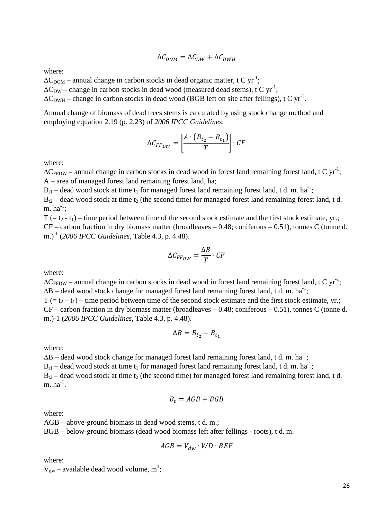$$
\Delta C_{DOM} = \Delta C_{DW} + \Delta C_{DWH}
$$

where:

 $\Delta C_{\text{DOM}}$  – annual change in carbon stocks in dead organic matter, t C yr<sup>-1</sup>;

 $\Delta C_{DW}$  – change in carbon stocks in dead wood (measured dead stems), t C yr<sup>-1</sup>;

 $\Delta C_{\text{DWH}}$  – change in carbon stocks in dead wood (BGB left on site after fellings), t C yr<sup>-1</sup>.

Annual change of biomass of dead trees stems is calculated by using stock change method and employing equation 2.19 (p. 2.23) of *2006 IPCC Guidelines*:

$$
\Delta C_{FF_{DW}} = \left[\frac{A \cdot (B_{t_2} - B_{t_1})}{T}\right] \cdot CF
$$

where:

 $\Delta C_{FFDW}$  – annual change in carbon stocks in dead wood in forest land remaining forest land, t C yr<sup>-1</sup>; A – area of managed forest land remaining forest land, ha;

 $B_{t1}$  – dead wood stock at time  $t_1$  for managed forest land remaining forest land, t d. m. ha<sup>-1</sup>;

 $B_{t2}$  – dead wood stock at time t<sub>2</sub> (the second time) for managed forest land remaining forest land, t d. m.  $ha^{-1}$ ;

 $T = t_2 - t_1$  – time period between time of the second stock estimate and the first stock estimate, yr.; CF – carbon fraction in dry biomass matter (broadleaves – 0.48; coniferous – 0.51), tonnes C (tonne d. m.)-1 (*2006 IPCC Guidelines*, Table 4.3, p. 4.48).

$$
\Delta C_{FF_{DW}} = \frac{\Delta B}{T} \cdot CF
$$

where:

 $\Delta C_{FFDW}$  – annual change in carbon stocks in dead wood in forest land remaining forest land, t C yr<sup>-1</sup>;  $\Delta B$  – dead wood stock change for managed forest land remaining forest land, t d. m. ha<sup>-1</sup>;  $T = t_2 - t_1$  – time period between time of the second stock estimate and the first stock estimate, yr.; CF – carbon fraction in dry biomass matter (broadleaves – 0.48; coniferous – 0.51), tonnes C (tonne d. m.)-1 (*2006 IPCC Guidelines*, Table 4.3, p. 4.48).

$$
\Delta B = B_{t_2} - B_{t_1}
$$

where:

 $\Delta B$  – dead wood stock change for managed forest land remaining forest land, t d. m. ha<sup>-1</sup>;  $B_{t1}$  – dead wood stock at time  $t_1$  for managed forest land remaining forest land, t d. m. ha<sup>-1</sup>;  $B_{t2}$  – dead wood stock at time t<sub>2</sub> (the second time) for managed forest land remaining forest land, t d. m.  $ha^{-1}$ .

$$
B_t = AGB + BGB
$$

where:

AGB – above-ground biomass in dead wood stems, t d. m.;

BGB – below-ground biomass (dead wood biomass left after fellings - roots), t d. m.

$$
AGB = V_{dw} \cdot WD \cdot BEF
$$

where:

 $V_{dw}$  – available dead wood volume, m<sup>3</sup>;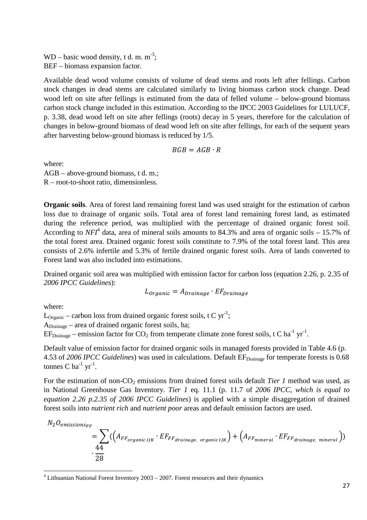$WD - basic wood density, t d. m. m<sup>-3</sup>;$ BEF – biomass expansion factor.

Available dead wood volume consists of volume of dead stems and roots left after fellings. Carbon stock changes in dead stems are calculated similarly to living biomass carbon stock change. Dead wood left on site after fellings is estimated from the data of felled volume – below-ground biomass carbon stock change included in this estimation. According to the IPCC 2003 Guidelines for LULUCF, p. 3.38, dead wood left on site after fellings (roots) decay in 5 years, therefore for the calculation of changes in below-ground biomass of dead wood left on site after fellings, for each of the sequent years after harvesting below-ground biomass is reduced by 1/5.

$$
BGB = AGB \cdot R
$$

where: AGB – above-ground biomass, t d. m.; R – root-to-shoot ratio, dimensionless.

**Organic soils**. Area of forest land remaining forest land was used straight for the estimation of carbon loss due to drainage of organic soils. Total area of forest land remaining forest land, as estimated during the reference period, was multiplied with the percentage of drained organic forest soil. According to  $NFI<sup>4</sup>$  data, area of mineral soils amounts to 84.3% and area of organic soils  $-15.7%$  of the total forest area. Drained organic forest soils constitute to 7.9% of the total forest land. This area consists of 2.6% infertile and 5.3% of fertile drained organic forest soils. Area of lands converted to Forest land was also included into estimations.

Drained organic soil area was multiplied with emission factor for carbon loss (equation 2.26, p. 2.35 of *2006 IPCC Guidelines*):

 $L_{Organic} = A_{Drainage} \cdot EF_{Drainage}$ 

where:

 $\overline{a}$ 

 $L_{\text{Organic}}$  – carbon loss from drained organic forest soils, t C yr<sup>-1</sup>;

ADrainage – area of drained organic forest soils, ha;

 $EF_{\text{Drainage}}$  – emission factor for CO<sub>2</sub> from temperate climate zone forest soils, t C ha<sup>-1</sup> yr<sup>-1</sup>.

Default value of emission factor for drained organic soils in managed forests provided in Table 4.6 (p. 4.53 of 2006 IPCC Guidelines) was used in calculations. Default EF<sub>Drainage</sub> for temperate forests is 0.68 tonnes C ha<sup>-1</sup> yr<sup>-1</sup>.

For the estimation of non-CO<sub>2</sub> emissions from drained forest soils default *Tier 1* method was used, as in National Greenhouse Gas Inventory. *Tier 1* eq. 11.1 (p. 11.7 of *2006 IPCC, which is equal to equation 2.26 p.2.35 of 2006 IPCC Guidelines*) is applied with a simple disaggregation of drained forest soils into *nutrient rich* and *nutrient poor* areas and default emission factors are used.

$$
N_2 O_{emission_{FF}} = \sum_{\substack{44\\28}} ((A_{FF_{organic\ IJK}} \cdot EF_{F\_{drainage, organic\ IJK}}) + (A_{FF_{mineral}} \cdot EF_{F\_{drainage, mineral}}))
$$

 $4$  Lithuanian National Forest Inventory 2003 – 2007. Forest resources and their dynamics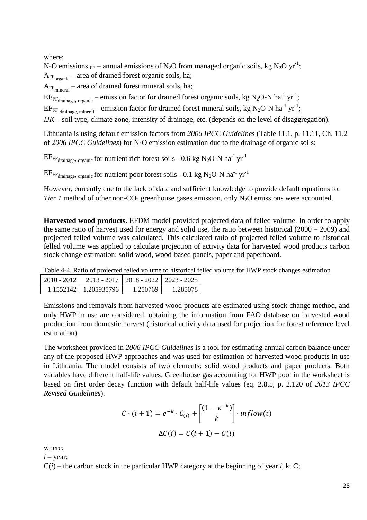where:

N<sub>2</sub>O emissions <sub>FF</sub> – annual emissions of N<sub>2</sub>O from managed organic soils, kg N<sub>2</sub>O yr<sup>-1</sup>; A<sub>FF<sub>organic</sub> – area of drained forest organic soils, ha;</sub>

 $A_{FF<sub>mineral</sub>}$  – area of drained forest mineral soils, ha;

 $EF_{FF_{\text{drainage, organic}}}$  – emission factor for drained forest organic soils, kg N<sub>2</sub>O-N ha<sup>-1</sup> yr<sup>-1</sup>;

 $E_{\text{FF}{}_{\text{drainage, mineral}}}-$  emission factor for drained forest mineral soils, kg N<sub>2</sub>O-N ha<sup>-1</sup> yr<sup>-1</sup>;

*IJK* – soil type, climate zone, intensity of drainage, etc. (depends on the level of disaggregation).

Lithuania is using default emission factors from *2006 IPCC Guidelines* (Table 11.1, p. 11.11, Ch. 11.2 of 2006 IPCC Guidelines) for N<sub>2</sub>O emission estimation due to the drainage of organic soils:

 $E$ F<sub>FFdrainage</sub>, <sub>organic</sub> for nutrient rich forest soils - 0.6 kg N<sub>2</sub>O-N ha<sup>-1</sup> yr<sup>-1</sup>

 $E\text{F}_{\text{F}}$ <sub>drainage, organic</sub> for nutrient poor forest soils - 0.1 kg N<sub>2</sub>O-N ha<sup>-1</sup> yr<sup>-1</sup>

However, currently due to the lack of data and sufficient knowledge to provide default equations for *Tier 1* method of other non-CO<sub>2</sub> greenhouse gases emission, only  $N_2O$  emissions were accounted.

**Harvested wood products.** EFDM model provided projected data of felled volume. In order to apply the same ratio of harvest used for energy and solid use, the ratio between historical (2000 – 2009) and projected felled volume was calculated. This calculated ratio of projected felled volume to historical felled volume was applied to calculate projection of activity data for harvested wood products carbon stock change estimation: solid wood, wood-based panels, paper and paperboard.

Table 4-4. Ratio of projected felled volume to historical felled volume for HWP stock changes estimation

| $2010 - 2012$ |                       | $2013 - 2017$   2018 - 2022   2023 - 2025 |          |
|---------------|-----------------------|-------------------------------------------|----------|
|               | 1 1552142 1 205935796 | 1 250769                                  | 1.285078 |

Emissions and removals from harvested wood products are estimated using stock change method, and only HWP in use are considered, obtaining the information from FAO database on harvested wood production from domestic harvest (historical activity data used for projection for forest reference level estimation).

The worksheet provided in *2006 IPCC Guidelines* is a tool for estimating annual carbon balance under any of the proposed HWP approaches and was used for estimation of harvested wood products in use in Lithuania. The model consists of two elements: solid wood products and paper products. Both variables have different half-life values. Greenhouse gas accounting for HWP pool in the worksheet is based on first order decay function with default half-life values (eq. 2.8.5, p. 2.120 of *2013 IPCC Revised Guidelines*).

$$
C \cdot (i+1) = e^{-k} \cdot C_{(i)} + \left[ \frac{(1 - e^{-k})}{k} \right] \cdot inflow(i)
$$

$$
\Delta C(i) = C(i+1) - C(i)
$$

where:

 $i$  – year;

 $C(i)$  – the carbon stock in the particular HWP category at the beginning of year *i*, kt C;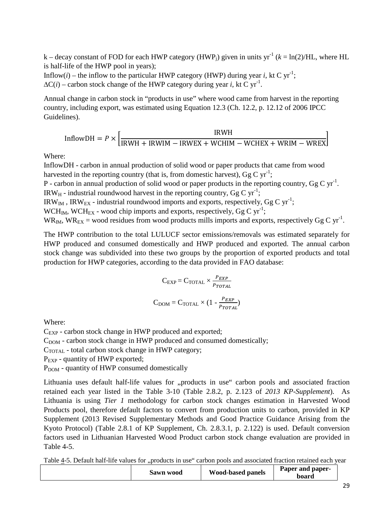k – decay constant of FOD for each HWP category (HWP<sub>i</sub>) given in units yr<sup>-1</sup> ( $k = \ln(2)/\text{HL}$ , where HL is half-life of the HWP pool in years);

Inflow(*i*) – the inflow to the particular HWP category (HWP) during year *i*, kt C yr<sup>-1</sup>;  $\Delta C(i)$  – carbon stock change of the HWP category during year *i*, kt C yr<sup>-1</sup>.

Annual change in carbon stock in "products in use" where wood came from harvest in the reporting country, including export, was estimated using Equation 12.3 (Ch. 12.2, p. 12.12 of 2006 IPCC Guidelines).

$$
InflowDH = P \times \left[ \frac{IRWH}{IRWH + IRWIM - IRWEX + WCHIM - WCHEX + WRIM - WREX} \right]
$$

Where:

InflowDH - carbon in annual production of solid wood or paper products that came from wood harvested in the reporting country (that is, from domestic harvest),  $GgCyr^{-1}$ ;

P - carbon in annual production of solid wood or paper products in the reporting country, Gg C yr<sup>-1</sup>.

IRW<sub>H</sub> - industrial roundwood harvest in the reporting country, Gg C yr<sup>-1</sup>;

IRW<sub>IM</sub>, IRW<sub>EX</sub> - industrial roundwood imports and exports, respectively, Gg C yr<sup>-1</sup>;

WCH<sub>IM</sub>, WCH<sub>EX</sub> - wood chip imports and exports, respectively, Gg C yr<sup>-1</sup>;

 $WR_{IM}$ ,  $WR_{EX}$  = wood residues from wood products mills imports and exports, respectively Gg C yr<sup>-1</sup>.

The HWP contribution to the total LULUCF sector emissions/removals was estimated separately for HWP produced and consumed domestically and HWP produced and exported. The annual carbon stock change was subdivided into these two groups by the proportion of exported products and total production for HWP categories, according to the data provided in FAO database:

$$
C_{EXP} = C_{TOTAL} \times \frac{P_{EXP}}{P_{TOTAL}}
$$

$$
C_{DOM} = C_{TOTAL} \times (1 - \frac{P_{EXP}}{P_{TOTAL}})
$$

Where:

 $C_{EXP}$  - carbon stock change in HWP produced and exported;

 $C_{DOM}$  - carbon stock change in HWP produced and consumed domestically;

 $C_{\text{TOTAL}}$  - total carbon stock change in HWP category;

P<sub>EXP</sub> - quantity of HWP exported;

P<sub>DOM</sub> - quantity of HWP consumed domestically

Lithuania uses default half-life values for "products in use" carbon pools and associated fraction retained each year listed in the Table 3-10 (Table 2.8.2, p. 2.123 of *2013 KP-Supplement*). As Lithuania is using *Tier 1* methodology for carbon stock changes estimation in Harvested Wood Products pool, therefore default factors to convert from production units to carbon, provided in KP Supplement (2013 Revised Supplementary Methods and Good Practice Guidance Arising from the Kyoto Protocol) (Table 2.8.1 of KP Supplement, Ch. 2.8.3.1, p. 2.122) is used. Default conversion factors used in Lithuanian Harvested Wood Product carbon stock change evaluation are provided in Table 4-5.

Table 4-5. Default half-life values for "products in use" carbon pools and associated fraction retained each year

| Sawn wood | <b>Wood-based panels</b> | Paper and paper-<br>board |  |
|-----------|--------------------------|---------------------------|--|
|           |                          |                           |  |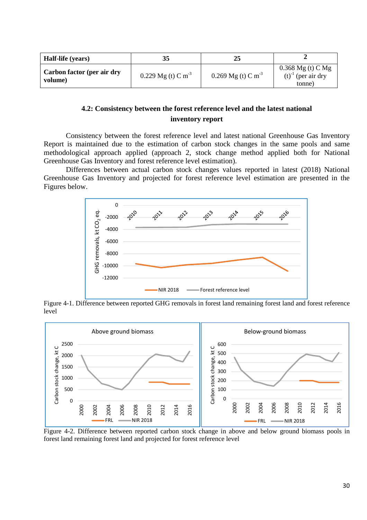| Half-life (years)                     | 35                             |                                |                                                          |
|---------------------------------------|--------------------------------|--------------------------------|----------------------------------------------------------|
| Carbon factor (per air dry<br>volume) | 0.229 Mg (t) C m <sup>-3</sup> | 0.269 Mg (t) C m <sup>-3</sup> | $0.368$ Mg (t) C Mg<br>$(t)^{-1}$ (per air dry<br>tonne) |

### **4.2: Consistency between the forest reference level and the latest national inventory report**

Consistency between the forest reference level and latest national Greenhouse Gas Inventory Report is maintained due to the estimation of carbon stock changes in the same pools and same methodological approach applied (approach 2, stock change method applied both for National Greenhouse Gas Inventory and forest reference level estimation).

Differences between actual carbon stock changes values reported in latest (2018) National Greenhouse Gas Inventory and projected for forest reference level estimation are presented in the Figures below.



Figure 4-1. Difference between reported GHG removals in forest land remaining forest land and forest reference level



Figure 4-2. Difference between reported carbon stock change in above and below ground biomass pools in forest land remaining forest land and projected for forest reference level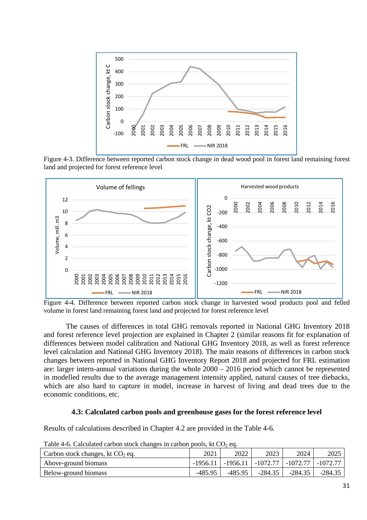

Figure 4-3. Difference between reported carbon stock change in dead wood pool in forest land remaining forest land and projected for forest reference level



Figure 4-4. Difference between reported carbon stock change in harvested wood products pool and felled volume in forest land remaining forest land and projected for forest reference level

The causes of differences in total GHG removals reported in National GHG Inventory 2018 and forest reference level projection are explained in Chapter 2 (similar reasons fit for explanation of differences between model calibration and National GHG Inventory 2018, as well as forest reference level calculation and National GHG Inventory 2018). The main reasons of differences in carbon stock changes between reported in National GHG Inventory Report 2018 and projected for FRL estimation are: larger intern-annual variations during the whole 2000 – 2016 period which cannot be represented in modelled results due to the average management intensity applied, natural causes of tree diebacks, which are also hard to capture in model, increase in harvest of living and dead trees due to the economic conditions, etc.

#### **4.3: Calculated carbon pools and greenhouse gases for the forest reference level**

Results of calculations described in Chapter 4.2 are provided in the Table 4-6.

| Carbon stock changes, kt $CO2$ eq. | 2021    | 2022                                                           | 2023      | 2024      | 2025      |
|------------------------------------|---------|----------------------------------------------------------------|-----------|-----------|-----------|
| Above-ground biomass               |         | $-1956.11$   $-1956.11$   $-1072.77$   $-1072.77$   $-1072.77$ |           |           |           |
| Below-ground biomass               | -485.95 | -485.95                                                        | $-284.35$ | $-284.35$ | $-284.35$ |

Table 4-6. Calculated carbon stock changes in carbon pools, kt  $CO<sub>2</sub>$  eq.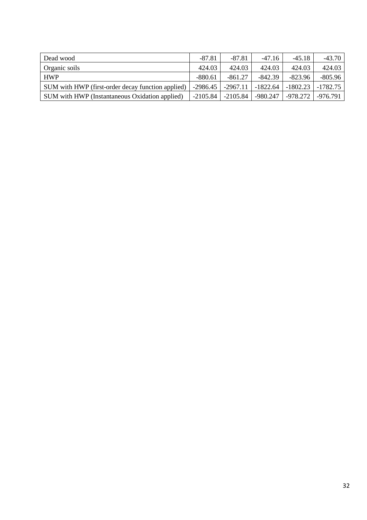| Dead wood                                         | $-87.81$   | $-87.81$   | $-47.16$   | $-45.18$   | $-43.70$   |
|---------------------------------------------------|------------|------------|------------|------------|------------|
| Organic soils                                     | 424.03     | 424.03     | 424.03     | 424.03     | 424.03     |
| <b>HWP</b>                                        | $-880.61$  | $-861.27$  | $-842.39$  | $-823.96$  | $-805.96$  |
| SUM with HWP (first-order decay function applied) | $-2986.45$ | $-2967.11$ | $-1822.64$ | $-1802.23$ | $-1782.75$ |
| SUM with HWP (Instantaneous Oxidation applied)    | $-2105.84$ | $-2105.84$ | $-980.247$ | -978.272   | $-976.791$ |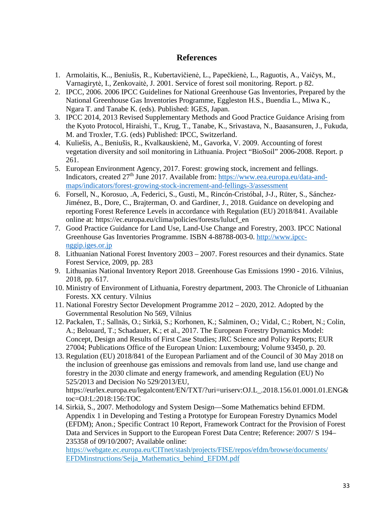## **References**

- 1. Armolaitis, K.., Beniušis, R., Kubertavičienė, L., Papečkienė, L., Raguotis, A., Vaičys, M., Varnagirytė, I., Zenkovaitė, J. 2001. Service of forest soil monitoring. Report. p 82.
- 2. IPCC, 2006. 2006 IPCC Guidelines for National Greenhouse Gas Inventories, Prepared by the National Greenhouse Gas Inventories Programme, Eggleston H.S., Buendia L., Miwa K., Ngara T. and Tanabe K. (eds). Published: IGES, Japan.
- 3. IPCC 2014, 2013 Revised Supplementary Methods and Good Practice Guidance Arising from the Kyoto Protocol, Hiraishi, T., Krug, T., Tanabe, K., Srivastava, N., Baasansuren, J., Fukuda, M. and Troxler, T.G. (eds) Published: IPCC, Switzerland.
- 4. Kuliešis, A., Beniušis, R., Kvalkauskienė, M., Gavorka, V. 2009. Accounting of forest vegetation diversity and soil monitoring in Lithuania. Project "BioSoil" 2006-2008. Report. p 261.
- 5. European Environment Agency, 2017. Forest: growing stock, increment and fellings. Indicators, created 27<sup>th</sup> June 2017. Available from: https://www.eea.europa.eu/data-andmaps/indicators/forest-growing-stock-increment-and-fellings-3/assessment
- 6. Forsell, N., Korosuo, .A, Federici, S., Gusti, M., Rincón-Cristóbal, J-J., Rüter, S., Sánchez-Jiménez, B., Dore, C., Brajterman, O. and Gardiner, J., 2018. Guidance on developing and reporting Forest Reference Levels in accordance with Regulation (EU) 2018/841. Available online at: https://ec.europa.eu/clima/policies/forests/lulucf\_en
- 7. Good Practice Guidance for Land Use, Land-Use Change and Forestry, 2003. IPCC National Greenhouse Gas Inventories Programme. ISBN 4-88788-003-0. http://www.ipccnggip.iges.or.jp
- 8. Lithuanian National Forest Inventory 2003 2007. Forest resources and their dynamics. State Forest Service, 2009, pp. 283
- 9. Lithuanias National Inventory Report 2018. Greenhouse Gas Emissions 1990 2016. Vilnius, 2018, pp. 617.
- 10. Ministry of Environment of Lithuania, Forestry department, 2003. The Chronicle of Lithuanian Forests. XX century. Vilnius
- 11. National Forestry Sector Development Programme 2012 2020, 2012. Adopted by the Governmental Resolution No 569, Vilnius
- 12. Packalen, T.; Sallnäs, O.; Sirkiä, S.; Korhonen, K.; Salminen, O.; Vidal, C.; Robert, N.; Colin, A.; Belouard, T.; Schadauer, K.; et al., 2017. The European Forestry Dynamics Model: Concept, Design and Results of First Case Studies; JRC Science and Policy Reports; EUR 27004; Publications Office of the European Union: Luxembourg; Volume 93450, p. 20.
- 13. Regulation (EU) 2018/841 of the European Parliament and of the Council of 30 May 2018 on the inclusion of greenhouse gas emissions and removals from land use, land use change and forestry in the 2030 climate and energy framework, and amending Regulation (EU) No 525/2013 and Decision No 529/2013/EU,

https://eurlex.europa.eu/legalcontent/EN/TXT/?uri=uriserv:OJ.L\_.2018.156.01.0001.01.ENG& toc=OJ:L:2018:156:TOC

14. Sirkiä, S., 2007. Methodology and System Design—Some Mathematics behind EFDM. Appendix 1 in Developing and Testing a Prototype for European Forestry Dynamics Model (EFDM); Anon.; Specific Contract 10 Report, Framework Contract for the Provision of Forest Data and Services in Support to the European Forest Data Centre; Reference: 2007/ S 194– 235358 of 09/10/2007; Available online:

https://webgate.ec.europa.eu/CITnet/stash/projects/FISE/repos/efdm/browse/documents/ EFDMinstructions/Seija\_Mathematics\_behind\_EFDM.pdf